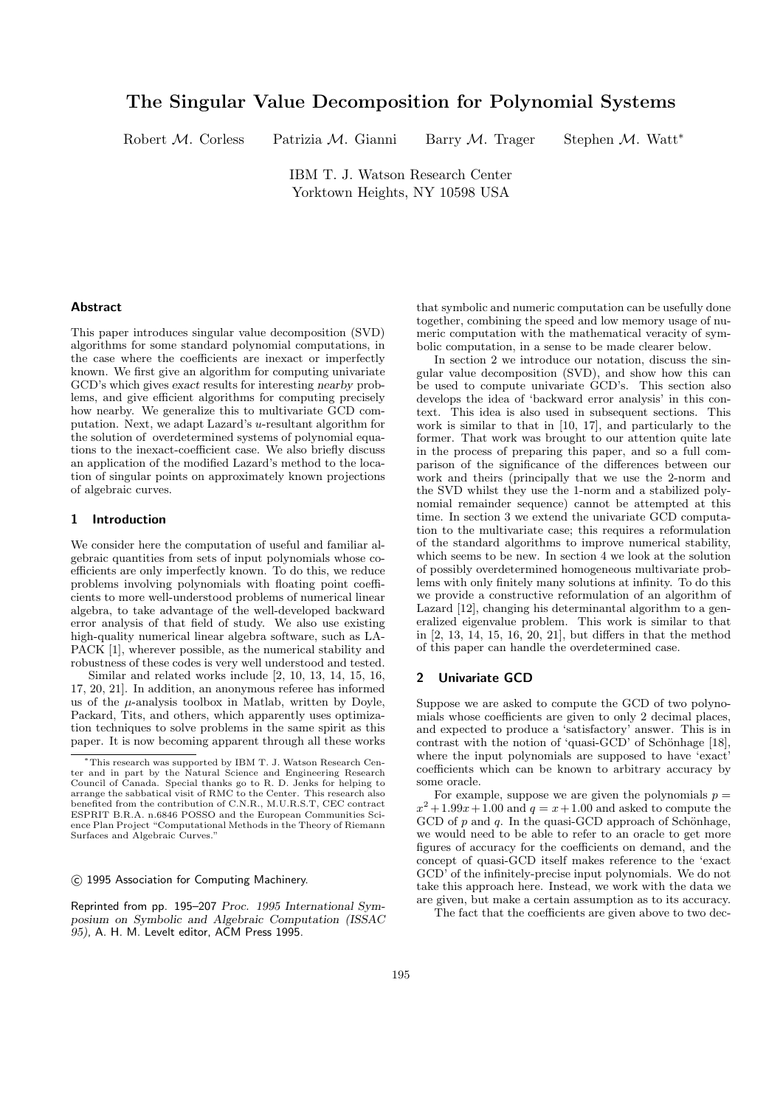# The Singular Value Decomposition for Polynomial Systems

Robert M. Corless Patrizia M. Gianni Barry M. Trager Stephen M. Watt<sup>\*</sup>

IBM T. J. Watson Research Center Yorktown Heights, NY 10598 USA

## Abstract

This paper introduces singular value decomposition (SVD) algorithms for some standard polynomial computations, in the case where the coefficients are inexact or imperfectly known. We first give an algorithm for computing univariate GCD's which gives exact results for interesting nearby problems, and give efficient algorithms for computing precisely how nearby. We generalize this to multivariate GCD computation. Next, we adapt Lazard's u-resultant algorithm for the solution of overdetermined systems of polynomial equations to the inexact-coefficient case. We also briefly discuss an application of the modified Lazard's method to the location of singular points on approximately known projections of algebraic curves.

## 1 Introduction

We consider here the computation of useful and familiar algebraic quantities from sets of input polynomials whose coefficients are only imperfectly known. To do this, we reduce problems involving polynomials with floating point coefficients to more well-understood problems of numerical linear algebra, to take advantage of the well-developed backward error analysis of that field of study. We also use existing high-quality numerical linear algebra software, such as LA-PACK [1], wherever possible, as the numerical stability and robustness of these codes is very well understood and tested.

Similar and related works include [2, 10, 13, 14, 15, 16, 17, 20, 21]. In addition, an anonymous referee has informed us of the  $\mu$ -analysis toolbox in Matlab, written by Doyle, Packard, Tits, and others, which apparently uses optimization techniques to solve problems in the same spirit as this paper. It is now becoming apparent through all these works

c 1995 Association for Computing Machinery.

Reprinted from pp. 195–207 Proc. 1995 International Symposium on Symbolic and Algebraic Computation (ISSAC 95), A. H. M. Levelt editor, ACM Press 1995.

that symbolic and numeric computation can be usefully done together, combining the speed and low memory usage of numeric computation with the mathematical veracity of symbolic computation, in a sense to be made clearer below.

In section 2 we introduce our notation, discuss the singular value decomposition (SVD), and show how this can be used to compute univariate GCD's. This section also develops the idea of 'backward error analysis' in this context. This idea is also used in subsequent sections. This work is similar to that in [10, 17], and particularly to the former. That work was brought to our attention quite late in the process of preparing this paper, and so a full comparison of the significance of the differences between our work and theirs (principally that we use the 2-norm and the SVD whilst they use the 1-norm and a stabilized polynomial remainder sequence) cannot be attempted at this time. In section 3 we extend the univariate GCD computation to the multivariate case; this requires a reformulation of the standard algorithms to improve numerical stability, which seems to be new. In section 4 we look at the solution of possibly overdetermined homogeneous multivariate problems with only finitely many solutions at infinity. To do this we provide a constructive reformulation of an algorithm of Lazard [12], changing his determinantal algorithm to a generalized eigenvalue problem. This work is similar to that in [2, 13, 14, 15, 16, 20, 21], but differs in that the method of this paper can handle the overdetermined case.

#### 2 Univariate GCD

Suppose we are asked to compute the GCD of two polynomials whose coefficients are given to only 2 decimal places, and expected to produce a 'satisfactory' answer. This is in contrast with the notion of 'quasi-GCD' of Schönhage  $[18]$ , where the input polynomials are supposed to have 'exact' coefficients which can be known to arbitrary accuracy by some oracle.

For example, suppose we are given the polynomials  $p =$  $x^2 + 1.99x + 1.00$  and  $q = x + 1.00$  and asked to compute the GCD of  $p$  and  $q$ . In the quasi-GCD approach of Schönhage, we would need to be able to refer to an oracle to get more figures of accuracy for the coefficients on demand, and the concept of quasi-GCD itself makes reference to the 'exact GCD' of the infinitely-precise input polynomials. We do not take this approach here. Instead, we work with the data we are given, but make a certain assumption as to its accuracy.

The fact that the coefficients are given above to two dec-

<sup>∗</sup>This research was supported by IBM T. J. Watson Research Center and in part by the Natural Science and Engineering Research Council of Canada. Special thanks go to R. D. Jenks for helping to arrange the sabbatical visit of RMC to the Center. This research also benefited from the contribution of C.N.R., M.U.R.S.T, CEC contract ESPRIT B.R.A. n.6846 POSSO and the European Communities Science Plan Project "Computational Methods in the Theory of Riemann Surfaces and Algebraic Curves."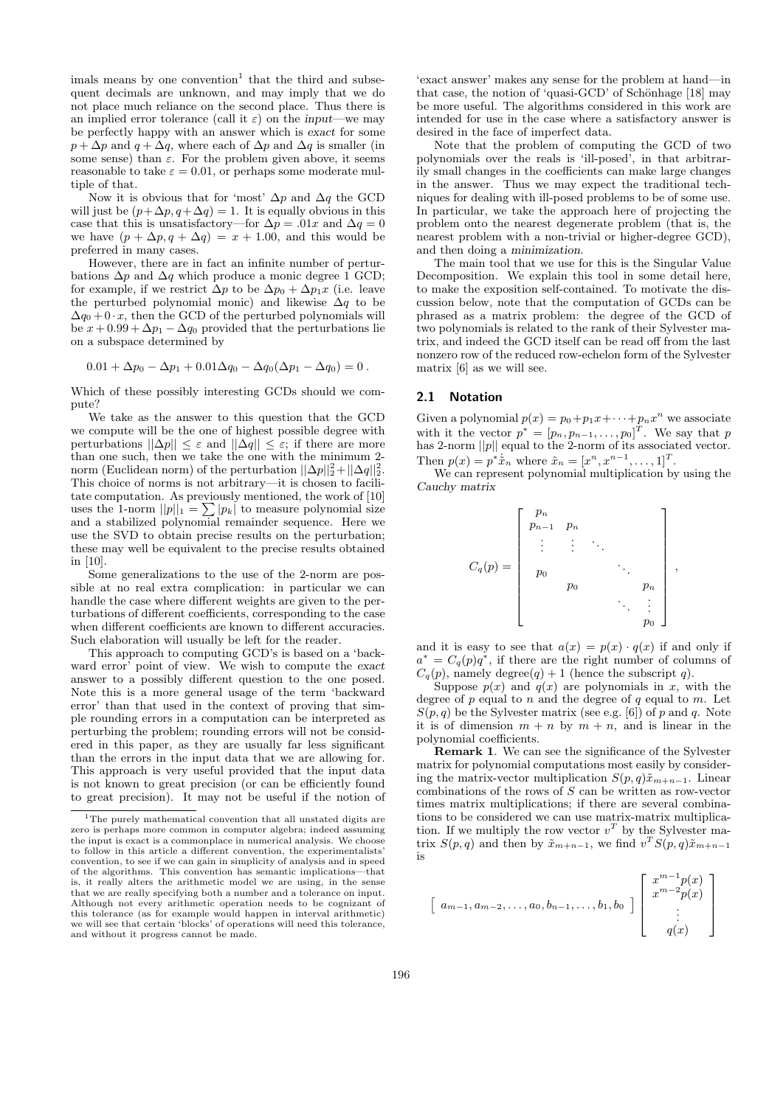imals means by one convention<sup>1</sup> that the third and subsequent decimals are unknown, and may imply that we do not place much reliance on the second place. Thus there is an implied error tolerance (call it  $\varepsilon$ ) on the input—we may be perfectly happy with an answer which is exact for some  $p + \Delta p$  and  $q + \Delta q$ , where each of  $\Delta p$  and  $\Delta q$  is smaller (in some sense) than  $\varepsilon$ . For the problem given above, it seems reasonable to take  $\varepsilon = 0.01$ , or perhaps some moderate multiple of that.

Now it is obvious that for 'most'  $\Delta p$  and  $\Delta q$  the GCD will just be  $(p+\Delta p, q+\Delta q) = 1$ . It is equally obvious in this case that this is unsatisfactory—for  $\Delta p = .01x$  and  $\Delta q = 0$ we have  $(p + \Delta p, q + \Delta q) = x + 1.00$ , and this would be preferred in many cases.

However, there are in fact an infinite number of perturbations  $\Delta p$  and  $\Delta q$  which produce a monic degree 1 GCD; for example, if we restrict  $\Delta p$  to be  $\Delta p_0 + \Delta p_1 x$  (i.e. leave the perturbed polynomial monic) and likewise  $\Delta q$  to be  $\Delta q_0 + 0 \cdot x$ , then the GCD of the perturbed polynomials will be  $x + 0.99 + \Delta p_1 - \Delta q_0$  provided that the perturbations lie on a subspace determined by

$$
0.01 + \Delta p_0 - \Delta p_1 + 0.01\Delta q_0 - \Delta q_0(\Delta p_1 - \Delta q_0) = 0.
$$

Which of these possibly interesting GCDs should we compute?

We take as the answer to this question that the GCD we compute will be the one of highest possible degree with perturbations  $||\Delta p|| \leq \varepsilon$  and  $||\Delta q|| \leq \varepsilon$ ; if there are more than one such, then we take the one with the minimum 2 norm (Euclidean norm) of the perturbation  $||\Delta p||_2^2 + ||\Delta q||_2^2$ . This choice of norms is not arbitrary—it is chosen to facilitate computation. As previously mentioned, the work of [10] uses the 1-norm  $||p||_1 = \sum |p_k|$  to measure polynomial size and a stabilized polynomial remainder sequence. Here we use the SVD to obtain precise results on the perturbation; these may well be equivalent to the precise results obtained in [10].

Some generalizations to the use of the 2-norm are possible at no real extra complication: in particular we can handle the case where different weights are given to the perturbations of different coefficients, corresponding to the case when different coefficients are known to different accuracies. Such elaboration will usually be left for the reader.

This approach to computing GCD's is based on a 'backward error' point of view. We wish to compute the exact answer to a possibly different question to the one posed. Note this is a more general usage of the term 'backward error' than that used in the context of proving that simple rounding errors in a computation can be interpreted as perturbing the problem; rounding errors will not be considered in this paper, as they are usually far less significant than the errors in the input data that we are allowing for. This approach is very useful provided that the input data is not known to great precision (or can be efficiently found to great precision). It may not be useful if the notion of

'exact answer' makes any sense for the problem at hand—in that case, the notion of 'quasi-GCD' of Schönhage  $[18]$  may be more useful. The algorithms considered in this work are intended for use in the case where a satisfactory answer is desired in the face of imperfect data.

Note that the problem of computing the GCD of two polynomials over the reals is 'ill-posed', in that arbitrarily small changes in the coefficients can make large changes in the answer. Thus we may expect the traditional techniques for dealing with ill-posed problems to be of some use. In particular, we take the approach here of projecting the problem onto the nearest degenerate problem (that is, the nearest problem with a non-trivial or higher-degree GCD), and then doing a minimization.

The main tool that we use for this is the Singular Value Decomposition. We explain this tool in some detail here, to make the exposition self-contained. To motivate the discussion below, note that the computation of GCDs can be phrased as a matrix problem: the degree of the GCD of two polynomials is related to the rank of their Sylvester matrix, and indeed the GCD itself can be read off from the last nonzero row of the reduced row-echelon form of the Sylvester matrix [6] as we will see.

# 2.1 Notation

Given a polynomial  $p(x) = p_0 + p_1 x + \cdots + p_n x^n$  we associate with it the vector  $p^* = [p_n, p_{n-1}, \ldots, p_0]^T$ . We say that p has 2-norm  $||p||$  equal to the 2-norm of its associated vector. Then  $p(x) = p^* \dot{\tilde{x}}_n$  where  $\tilde{x}_n = [x^n, x^{n-1}, \dots, 1]^T$ .

We can represent polynomial multiplication by using the Cauchy matrix

$$
C_q(p) = \begin{bmatrix} p_n & & & & \\ p_{n-1} & p_n & & & \\ & \vdots & \vdots & \ddots & \\ & p_0 & & & \ddots & \\ & & p_0 & & & p_n \\ & & & & \ddots & \vdots \\ & & & & & p_0 \end{bmatrix},
$$

and it is easy to see that  $a(x) = p(x) \cdot q(x)$  if and only if  $a^* = C_q(p)q^*$ , if there are the right number of columns of  $C_q(p)$ , namely degree $(q) + 1$  (hence the subscript q).

Suppose  $p(x)$  and  $q(x)$  are polynomials in x, with the degree of  $p$  equal to  $n$  and the degree of  $q$  equal to  $m$ . Let  $S(p, q)$  be the Sylvester matrix (see e.g. [6]) of p and q. Note it is of dimension  $m + n$  by  $m + n$ , and is linear in the polynomial coefficients.

Remark 1. We can see the significance of the Sylvester matrix for polynomial computations most easily by considering the matrix-vector multiplication  $S(p,q)\tilde{x}_{m+n-1}$ . Linear combinations of the rows of S can be written as row-vector times matrix multiplications; if there are several combinations to be considered we can use matrix-matrix multiplication. If we multiply the row vector  $v^T$  by the Sylvester matrix  $S(p,q)$  and then by  $\tilde{x}_{m+n-1}$ , we find  $v^T S(p,q) \tilde{x}_{m+n-1}$ is

$$
\begin{bmatrix} a_{m-1}, a_{m-2}, \ldots, a_0, b_{n-1}, \ldots, b_1, b_0 \end{bmatrix} \begin{bmatrix} x^{m-1} p(x) \\ x^{m-2} p(x) \\ \vdots \\ q(x) \end{bmatrix}
$$

<sup>&</sup>lt;sup>1</sup>The purely mathematical convention that all unstated digits are zero is perhaps more common in computer algebra; indeed assuming the input is exact is a commonplace in numerical analysis. We choose to follow in this article a different convention, the experimentalists' convention, to see if we can gain in simplicity of analysis and in speed of the algorithms. This convention has semantic implications—that is, it really alters the arithmetic model we are using, in the sense that we are really specifying both a number and a tolerance on input. Although not every arithmetic operation needs to be cognizant of this tolerance (as for example would happen in interval arithmetic) we will see that certain 'blocks' of operations will need this tolerance, and without it progress cannot be made.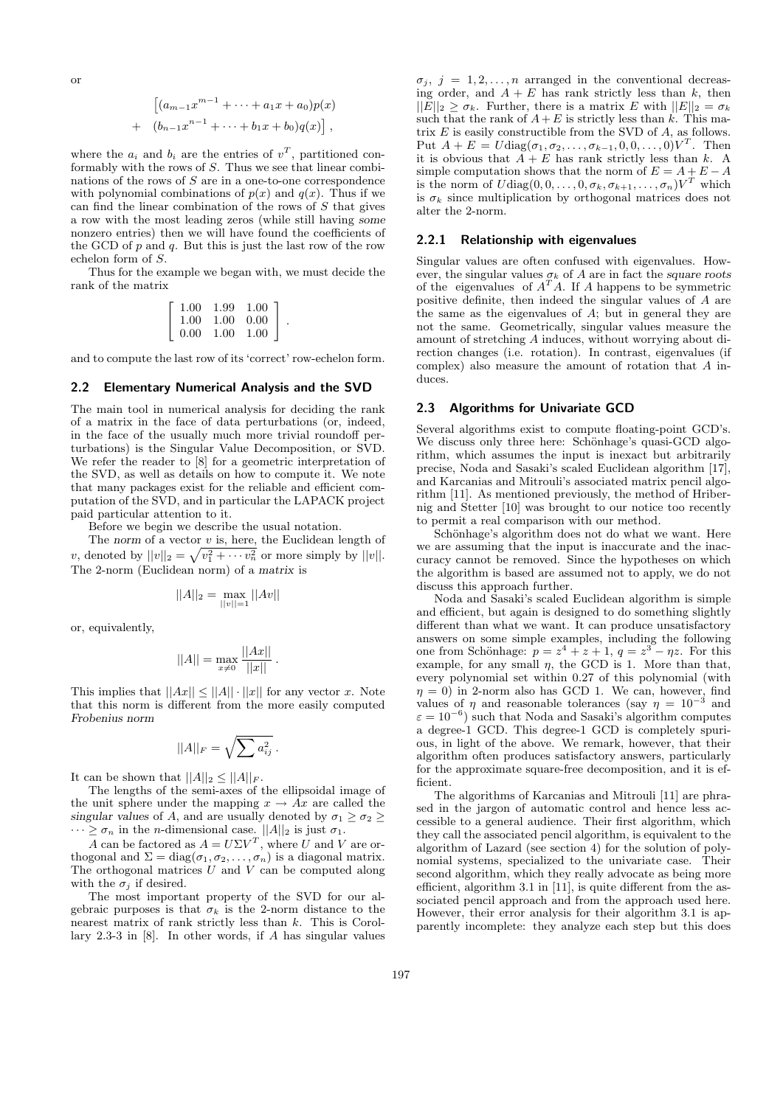or

$$
\left[ (a_{m-1}x^{m-1} + \dots + a_1x + a_0)p(x) + (b_{n-1}x^{n-1} + \dots + b_1x + b_0)q(x) \right],
$$

where the  $a_i$  and  $b_i$  are the entries of  $v^T$ , partitioned conformably with the rows of  $S$ . Thus we see that linear combinations of the rows of  $S$  are in a one-to-one correspondence with polynomial combinations of  $p(x)$  and  $q(x)$ . Thus if we can find the linear combination of the rows of  $S$  that gives a row with the most leading zeros (while still having some nonzero entries) then we will have found the coefficients of the GCD of  $p$  and  $q$ . But this is just the last row of the row echelon form of S.

Thus for the example we began with, we must decide the rank of the matrix

| 1.00 | 1.99 | 1.00 |
|------|------|------|
| 1.00 | 1.00 | 0.00 |
| 0.00 | 1.00 | 1.00 |

.

and to compute the last row of its 'correct' row-echelon form.

#### 2.2 Elementary Numerical Analysis and the SVD

The main tool in numerical analysis for deciding the rank of a matrix in the face of data perturbations (or, indeed, in the face of the usually much more trivial roundoff perturbations) is the Singular Value Decomposition, or SVD. We refer the reader to [8] for a geometric interpretation of the SVD, as well as details on how to compute it. We note that many packages exist for the reliable and efficient computation of the SVD, and in particular the LAPACK project paid particular attention to it.

Before we begin we describe the usual notation.

The norm of a vector  $v$  is, here, the Euclidean length of v, denoted by  $||v||_2 = \sqrt{v_1^2 + \cdots v_n^2}$  or more simply by  $||v||$ . The 2-norm (Euclidean norm) of a matrix is

$$
||A||_2 = \max_{||v||=1} ||Av||
$$

or, equivalently,

$$
||A|| = \max_{x \neq 0} \frac{||Ax||}{||x||}.
$$

This implies that  $||Ax|| \le ||A|| \cdot ||x||$  for any vector x. Note that this norm is different from the more easily computed Frobenius norm

$$
||A||_F = \sqrt{\sum a_{ij}^2}.
$$

It can be shown that  $||A||_2 \leq ||A||_F$ .

The lengths of the semi-axes of the ellipsoidal image of the unit sphere under the mapping  $x \to Ax$  are called the singular values of A, and are usually denoted by  $\sigma_1 \geq \sigma_2 \geq$  $\cdots \geq \sigma_n$  in the *n*-dimensional case.  $||A||_2$  is just  $\sigma_1$ .

A can be factored as  $A = U\Sigma V^T$ , where U and V are orthogonal and  $\Sigma = diag(\sigma_1, \sigma_2, \ldots, \sigma_n)$  is a diagonal matrix. The orthogonal matrices  $U$  and  $V$  can be computed along with the  $\sigma_j$  if desired.

The most important property of the SVD for our algebraic purposes is that  $\sigma_k$  is the 2-norm distance to the nearest matrix of rank strictly less than k. This is Corollary 2.3-3 in [8]. In other words, if A has singular values

 $\sigma_j$ ,  $j = 1, 2, \ldots, n$  arranged in the conventional decreasing order, and  $A + E$  has rank strictly less than k, then  $||E||_2 \geq \sigma_k$ . Further, there is a matrix E with  $||E||_2 = \sigma_k$ such that the rank of  $A+E$  is strictly less than k. This matrix  $E$  is easily constructible from the SVD of  $A$ , as follows. Put  $A + E = U \text{diag}(\sigma_1, \sigma_2, \dots, \sigma_{k-1}, 0, 0, \dots, 0) V^T$ . Then it is obvious that  $\overline{A} + \overline{E}$  has rank strictly less than k. A simple computation shows that the norm of  $E = A + E - A$ is the norm of  $U \text{diag}(0,0,\ldots,0,\sigma_k,\sigma_{k+1},\ldots,\sigma_n) V^T$  which is  $\sigma_k$  since multiplication by orthogonal matrices does not alter the 2-norm.

## 2.2.1 Relationship with eigenvalues

Singular values are often confused with eigenvalues. However, the singular values  $\sigma_k$  of A are in fact the square roots of the eigenvalues of  $A<sup>T</sup>A$ . If A happens to be symmetric positive definite, then indeed the singular values of A are the same as the eigenvalues of A; but in general they are not the same. Geometrically, singular values measure the amount of stretching A induces, without worrying about direction changes (i.e. rotation). In contrast, eigenvalues (if complex) also measure the amount of rotation that A induces.

#### 2.3 Algorithms for Univariate GCD

Several algorithms exist to compute floating-point GCD's. We discuss only three here: Schönhage's quasi-GCD algorithm, which assumes the input is inexact but arbitrarily precise, Noda and Sasaki's scaled Euclidean algorithm [17], and Karcanias and Mitrouli's associated matrix pencil algorithm [11]. As mentioned previously, the method of Hribernig and Stetter [10] was brought to our notice too recently to permit a real comparison with our method.

Schönhage's algorithm does not do what we want. Here we are assuming that the input is inaccurate and the inaccuracy cannot be removed. Since the hypotheses on which the algorithm is based are assumed not to apply, we do not discuss this approach further.

Noda and Sasaki's scaled Euclidean algorithm is simple and efficient, but again is designed to do something slightly different than what we want. It can produce unsatisfactory answers on some simple examples, including the following one from Schönhage:  $p = z^4 + z + 1$ ,  $q = z^3 - \eta z$ . For this example, for any small  $\eta$ , the GCD is 1. More than that, every polynomial set within 0.27 of this polynomial (with  $\eta = 0$ ) in 2-norm also has GCD 1. We can, however, find values of  $\eta$  and reasonable tolerances (say  $\eta = 10^{-3}$  and  $\varepsilon = 10^{-6}$ ) such that Noda and Sasaki's algorithm computes a degree-1 GCD. This degree-1 GCD is completely spurious, in light of the above. We remark, however, that their algorithm often produces satisfactory answers, particularly for the approximate square-free decomposition, and it is efficient.

The algorithms of Karcanias and Mitrouli [11] are phrased in the jargon of automatic control and hence less accessible to a general audience. Their first algorithm, which they call the associated pencil algorithm, is equivalent to the algorithm of Lazard (see section 4) for the solution of polynomial systems, specialized to the univariate case. Their second algorithm, which they really advocate as being more efficient, algorithm 3.1 in [11], is quite different from the associated pencil approach and from the approach used here. However, their error analysis for their algorithm 3.1 is apparently incomplete: they analyze each step but this does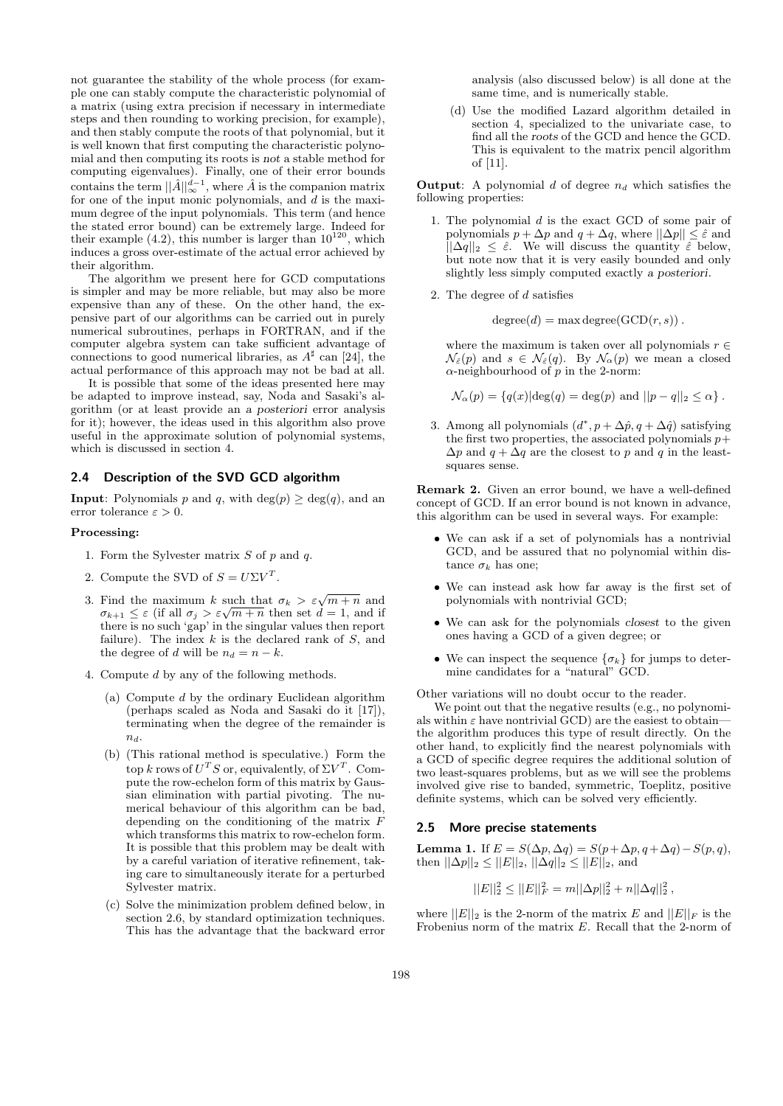not guarantee the stability of the whole process (for example one can stably compute the characteristic polynomial of a matrix (using extra precision if necessary in intermediate steps and then rounding to working precision, for example), and then stably compute the roots of that polynomial, but it is well known that first computing the characteristic polynomial and then computing its roots is not a stable method for computing eigenvalues). Finally, one of their error bounds contains the term  $||\hat{A}||_{\infty}^{d-1}$ , where  $\hat{A}$  is the companion matrix for one of the input monic polynomials, and d is the maximum degree of the input polynomials. This term (and hence the stated error bound) can be extremely large. Indeed for their example  $(4.2)$ , this number is larger than  $10^{120}$ , which induces a gross over-estimate of the actual error achieved by their algorithm.

The algorithm we present here for GCD computations is simpler and may be more reliable, but may also be more expensive than any of these. On the other hand, the expensive part of our algorithms can be carried out in purely numerical subroutines, perhaps in FORTRAN, and if the computer algebra system can take sufficient advantage of connections to good numerical libraries, as  $A^{\sharp}$  can [24], the actual performance of this approach may not be bad at all.

It is possible that some of the ideas presented here may be adapted to improve instead, say, Noda and Sasaki's algorithm (or at least provide an a posteriori error analysis for it); however, the ideas used in this algorithm also prove useful in the approximate solution of polynomial systems, which is discussed in section 4.

#### 2.4 Description of the SVD GCD algorithm

**Input:** Polynomials p and q, with deg(p)  $\geq$  deg(q), and an error tolerance  $\varepsilon > 0$ .

#### Processing:

- 1. Form the Sylvester matrix  $S$  of  $p$  and  $q$ .
- 2. Compute the SVD of  $S = U\Sigma V^T$ .
- 3. Find the maximum k such that  $\sigma_k > \varepsilon \sqrt{m+n}$  and Find the maximum  $\kappa$  such that  $\sigma_k > \varepsilon \sqrt{m+n}$  and  $\sigma_{k+1} \leq \varepsilon$  (if all  $\sigma_j > \varepsilon \sqrt{m+n}$  then set  $d = 1$ , and if there is no such 'gap' in the singular values then report failure). The index  $k$  is the declared rank of  $S$ , and the degree of d will be  $n_d = n - k$ .
- 4. Compute d by any of the following methods.
	- (a) Compute d by the ordinary Euclidean algorithm (perhaps scaled as Noda and Sasaki do it [17]), terminating when the degree of the remainder is  $n_d$ .
	- (b) (This rational method is speculative.) Form the top k rows of  $U^T S$  or, equivalently, of  $\Sigma V^T$ . Compute the row-echelon form of this matrix by Gaussian elimination with partial pivoting. The numerical behaviour of this algorithm can be bad, depending on the conditioning of the matrix F which transforms this matrix to row-echelon form. It is possible that this problem may be dealt with by a careful variation of iterative refinement, taking care to simultaneously iterate for a perturbed Sylvester matrix.
	- (c) Solve the minimization problem defined below, in section 2.6, by standard optimization techniques. This has the advantage that the backward error

analysis (also discussed below) is all done at the same time, and is numerically stable.

(d) Use the modified Lazard algorithm detailed in section 4, specialized to the univariate case, to find all the roots of the GCD and hence the GCD. This is equivalent to the matrix pencil algorithm of [11].

**Output:** A polynomial  $d$  of degree  $n_d$  which satisfies the following properties:

- 1. The polynomial  $d$  is the exact GCD of some pair of polynomials  $p + \Delta p$  and  $q + \Delta q$ , where  $||\Delta p|| \leq \hat{\varepsilon}$  and  $||\Delta q||_2 \leq \hat{\varepsilon}$ . We will discuss the quantity  $\hat{\varepsilon}$  below, but note now that it is very easily bounded and only slightly less simply computed exactly a posteriori.
- 2. The degree of d satisfies

 $degree(d) = max degree(GCD(r, s))$ .

where the maximum is taken over all polynomials  $r \in$  $\mathcal{N}_{\varepsilon}(p)$  and  $s \in \mathcal{N}_{\varepsilon}(q)$ . By  $\mathcal{N}_{\alpha}(p)$  we mean a closed  $\alpha$ -neighbourhood of p in the 2-norm:

$$
\mathcal{N}_{\alpha}(p) = \{q(x)|\text{deg}(q) = \text{deg}(p) \text{ and } ||p - q||_2 \leq \alpha\}.
$$

3. Among all polynomials  $(d^*, p + \Delta \hat{p}, q + \Delta \hat{q})$  satisfying the first two properties, the associated polynomials  $p+$  $\Delta p$  and  $q + \Delta q$  are the closest to p and q in the leastsquares sense.

Remark 2. Given an error bound, we have a well-defined concept of GCD. If an error bound is not known in advance, this algorithm can be used in several ways. For example:

- We can ask if a set of polynomials has a nontrivial GCD, and be assured that no polynomial within distance  $\sigma_k$  has one;
- We can instead ask how far away is the first set of polynomials with nontrivial GCD;
- We can ask for the polynomials closest to the given ones having a GCD of a given degree; or
- We can inspect the sequence  $\{\sigma_k\}$  for jumps to determine candidates for a "natural" GCD.

Other variations will no doubt occur to the reader.

We point out that the negative results (e.g., no polynomials within  $\varepsilon$  have nontrivial GCD) are the easiest to obtainthe algorithm produces this type of result directly. On the other hand, to explicitly find the nearest polynomials with a GCD of specific degree requires the additional solution of two least-squares problems, but as we will see the problems involved give rise to banded, symmetric, Toeplitz, positive definite systems, which can be solved very efficiently.

#### 2.5 More precise statements

Lemma 1. If  $E = S(\Delta p, \Delta q) = S(p + \Delta p, q + \Delta q) - S(p, q)$ , then  $||\Delta p||_2 \leq ||E||_2$ ,  $||\Delta q||_2 \leq ||E||_2$ , and

$$
||E||_2^2 \le ||E||_F^2 = m||\Delta p||_2^2 + n||\Delta q||_2^2,
$$

where  $||E||_2$  is the 2-norm of the matrix E and  $||E||_F$  is the Frobenius norm of the matrix E. Recall that the 2-norm of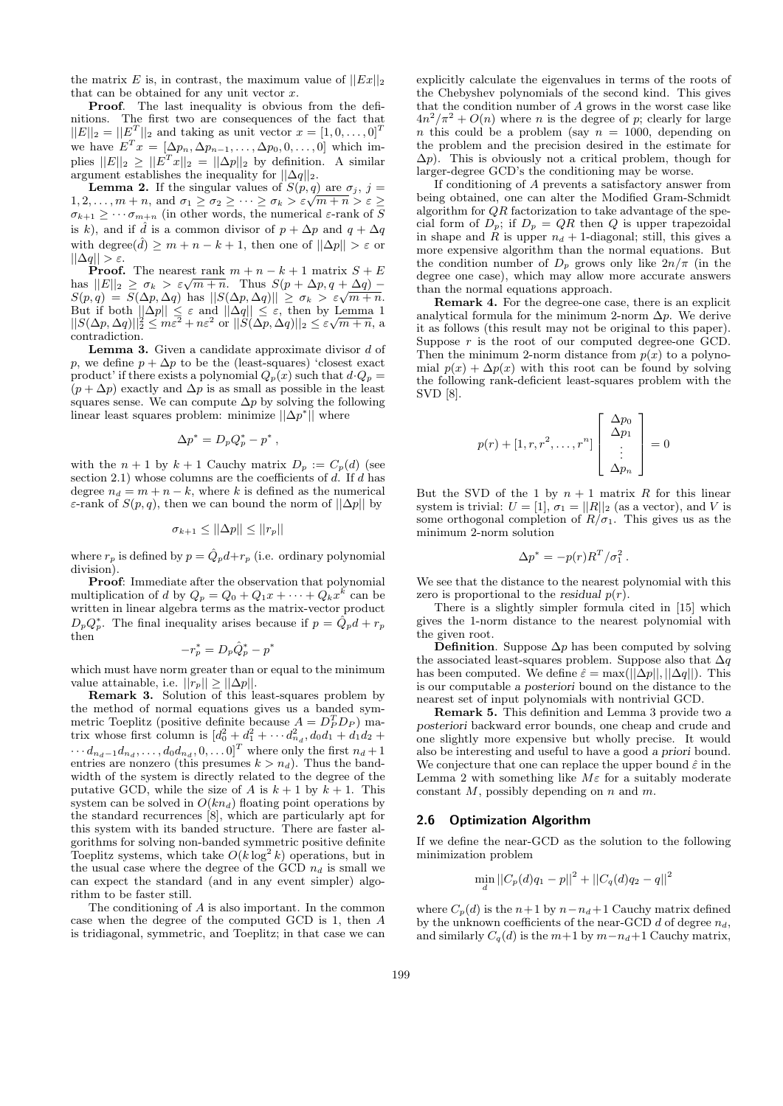the matrix E is, in contrast, the maximum value of  $||Ex||_2$ that can be obtained for any unit vector  $x$ .

Proof. The last inequality is obvious from the definitions. The first two are consequences of the fact that  $||E||_2 = ||E^T||_2$  and taking as unit vector  $x = [1, 0, \dots, 0]^T$ we have  $E^{T} x = [\Delta p_n, \Delta p_{n-1}, \ldots, \Delta p_0, 0, \ldots, 0]$  which implies  $||E||_2 \ge ||E^T x||_2 = ||\Delta p||_2$  by definition. A similar argument establishes the inequality for  $||\Delta q||_2$ .

**Lemma 2.** If the singular values of  $S(p,q)$  are  $\sigma_j$ ,  $j=$ **Lemma 2.** If the singular values of  $S(p,q)$  are  $\sigma_j$ ,  $j = 1, 2, ..., m + n$ , and  $\sigma_1 \geq \sigma_2 \geq ... \geq \sigma_k > \varepsilon \sqrt{m+n} > \varepsilon \geq$  $\sigma_{k+1} \geq \cdots \sigma_{m+n}$  (in other words, the numerical  $\varepsilon$ -rank of  $\overline{S}$ is k), and if  $\hat{d}$  is a common divisor of  $p + \Delta p$  and  $q + \Delta q$ with degree $(\hat{d}) \geq m + n - k + 1$ , then one of  $||\Delta p|| > \varepsilon$  or  $||\Delta q|| > \varepsilon.$ 

**Proof.** The nearest rank  $m + n - k + 1$  matrix  $S + E$ **Proof.** The nearest rank  $m + n - \kappa + 1$  matrix  $S + E$ <br>has  $||E||_2 \ge \sigma_k > \varepsilon \sqrt{m+n}$ . Thus  $S(p + \Delta p, q + \Delta q)$ nas  $||E||_2 \ge \sigma_k > \varepsilon \sqrt{m+n}$ . Thus  $S(p + \Delta p, q + \Delta q) - S(p,q) = S(\Delta p, \Delta q)$  has  $||S(\Delta p, \Delta q)|| \ge \sigma_k > \varepsilon \sqrt{m+n}$ . But if both  $||\Delta p|| \leq \varepsilon$  and  $||\Delta q|| \leq \varepsilon$ , then by Lemma 1 But if both  $\|\Delta p\| \leq \varepsilon$  and  $\|\Delta q\| \leq \varepsilon$ , then by Lemma 1<br> $\|S(\Delta p, \Delta q)\|_2^2 \leq m\varepsilon^2 + n\varepsilon^2$  or  $\|S(\Delta p, \Delta q)\|_2 \leq \varepsilon\sqrt{m+n}$ , a contradiction.

**Lemma 3.** Given a candidate approximate divisor  $d$  of p, we define  $p + \Delta p$  to be the (least-squares) 'closest exact product' if there exists a polynomial  $Q_p(x)$  such that  $d \cdot Q_p =$  $(p + \Delta p)$  exactly and  $\Delta p$  is as small as possible in the least squares sense. We can compute  $\Delta p$  by solving the following linear least squares problem: minimize  $\|\Delta p^*\|$  where

$$
\Delta p^* = D_p Q_p^* - p^*,
$$

with the  $n + 1$  by  $k + 1$  Cauchy matrix  $D_p := C_p(d)$  (see section 2.1) whose columns are the coefficients of  $d$ . If  $d$  has degree  $n_d = m + n - k$ , where k is defined as the numerical ε-rank of  $S(p, q)$ , then we can bound the norm of  $||\Delta p||$  by

$$
\sigma_{k+1} \le ||\Delta p|| \le ||r_p||
$$

where  $r_p$  is defined by  $p = \hat{Q}_p d + r_p$  (i.e. ordinary polynomial division).

Proof: Immediate after the observation that polynomial multiplication of d by  $Q_p = Q_0 + Q_1 x + \cdots + Q_k x^k$  can be written in linear algebra terms as the matrix-vector product  $D_p Q_p^*$ . The final inequality arises because if  $p = \tilde{Q}_p d + r_p$ then

$$
-r_p^* = D_p \hat{Q}_p^* - p^*
$$

which must have norm greater than or equal to the minimum value attainable, i.e.  $||r_p|| \geq ||\Delta p||$ .

Remark 3. Solution of this least-squares problem by the method of normal equations gives us a banded symmetric Toeplitz (positive definite because  $A = D_P^T D_P$ ) matrix whose first column is  $[d_0^2 + d_1^2 + \cdots + d_{n_d}^2, d_0 d_1 + d_1 d_2 +$  $\cdots d_{n_d-1} d_{n_d}, \ldots, d_0 d_{n_d}, 0, \ldots 0]^T$  where only the first  $n_d + 1$ entries are nonzero (this presumes  $k > n_d$ ). Thus the bandwidth of the system is directly related to the degree of the putative GCD, while the size of A is  $k + 1$  by  $k + 1$ . This system can be solved in  $O(kn_d)$  floating point operations by the standard recurrences [8], which are particularly apt for this system with its banded structure. There are faster algorithms for solving non-banded symmetric positive definite Toeplitz systems, which take  $O(k \log^2 k)$  operations, but in the usual case where the degree of the GCD  $n_d$  is small we can expect the standard (and in any event simpler) algorithm to be faster still.

The conditioning of  $A$  is also important. In the common case when the degree of the computed GCD is 1, then A is tridiagonal, symmetric, and Toeplitz; in that case we can

explicitly calculate the eigenvalues in terms of the roots of the Chebyshev polynomials of the second kind. This gives that the condition number of A grows in the worst case like  $4n^2/\pi^2 + O(n)$  where *n* is the degree of *p*; clearly for large n this could be a problem (say  $n = 1000$ , depending on the problem and the precision desired in the estimate for  $\Delta p$ ). This is obviously not a critical problem, though for larger-degree GCD's the conditioning may be worse.

If conditioning of A prevents a satisfactory answer from being obtained, one can alter the Modified Gram-Schmidt algorithm for  $QR$  factorization to take advantage of the special form of  $D_p$ ; if  $D_p = QR$  then Q is upper trapezoidal in shape and R is upper  $n_d + 1$ -diagonal; still, this gives a more expensive algorithm than the normal equations. But the condition number of  $D_p$  grows only like  $2n/\pi$  (in the degree one case), which may allow more accurate answers than the normal equations approach.

Remark 4. For the degree-one case, there is an explicit analytical formula for the minimum 2-norm  $\Delta p$ . We derive it as follows (this result may not be original to this paper). Suppose  $r$  is the root of our computed degree-one GCD. Then the minimum 2-norm distance from  $p(x)$  to a polynomial  $p(x) + \Delta p(x)$  with this root can be found by solving the following rank-deficient least-squares problem with the SVD [8].

$$
p(r) + [1, r, r^2, \dots, r^n] \begin{bmatrix} \Delta p_0 \\ \Delta p_1 \\ \vdots \\ \Delta p_n \end{bmatrix} = 0
$$

But the SVD of the 1 by  $n + 1$  matrix R for this linear system is trivial:  $U = [1], \sigma_1 = ||R||_2$  (as a vector), and V is some orthogonal completion of  $R/\sigma_1$ . This gives us as the minimum 2-norm solution

$$
\Delta p^* = -p(r)R^T/\sigma_1^2.
$$

We see that the distance to the nearest polynomial with this zero is proportional to the residual  $p(r)$ .

There is a slightly simpler formula cited in [15] which gives the 1-norm distance to the nearest polynomial with the given root.

**Definition.** Suppose  $\Delta p$  has been computed by solving the associated least-squares problem. Suppose also that  $\Delta q$ has been computed. We define  $\hat{\varepsilon} = \max(||\Delta p||, ||\Delta q||)$ . This is our computable a posteriori bound on the distance to the nearest set of input polynomials with nontrivial GCD.

Remark 5. This definition and Lemma 3 provide two a posteriori backward error bounds, one cheap and crude and one slightly more expensive but wholly precise. It would also be interesting and useful to have a good a priori bound. We conjecture that one can replace the upper bound  $\hat{\varepsilon}$  in the Lemma 2 with something like  $M\varepsilon$  for a suitably moderate constant  $M$ , possibly depending on  $n$  and  $m$ .

#### 2.6 Optimization Algorithm

If we define the near-GCD as the solution to the following minimization problem

$$
\min_{d} ||C_p(d)q_1 - p||^2 + ||C_q(d)q_2 - q||^2
$$

where  $C_p(d)$  is the  $n+1$  by  $n-n_d+1$  Cauchy matrix defined by the unknown coefficients of the near-GCD  $d$  of degree  $n_d$ , and similarly  $C_q(d)$  is the  $m+1$  by  $m-n_d+1$  Cauchy matrix,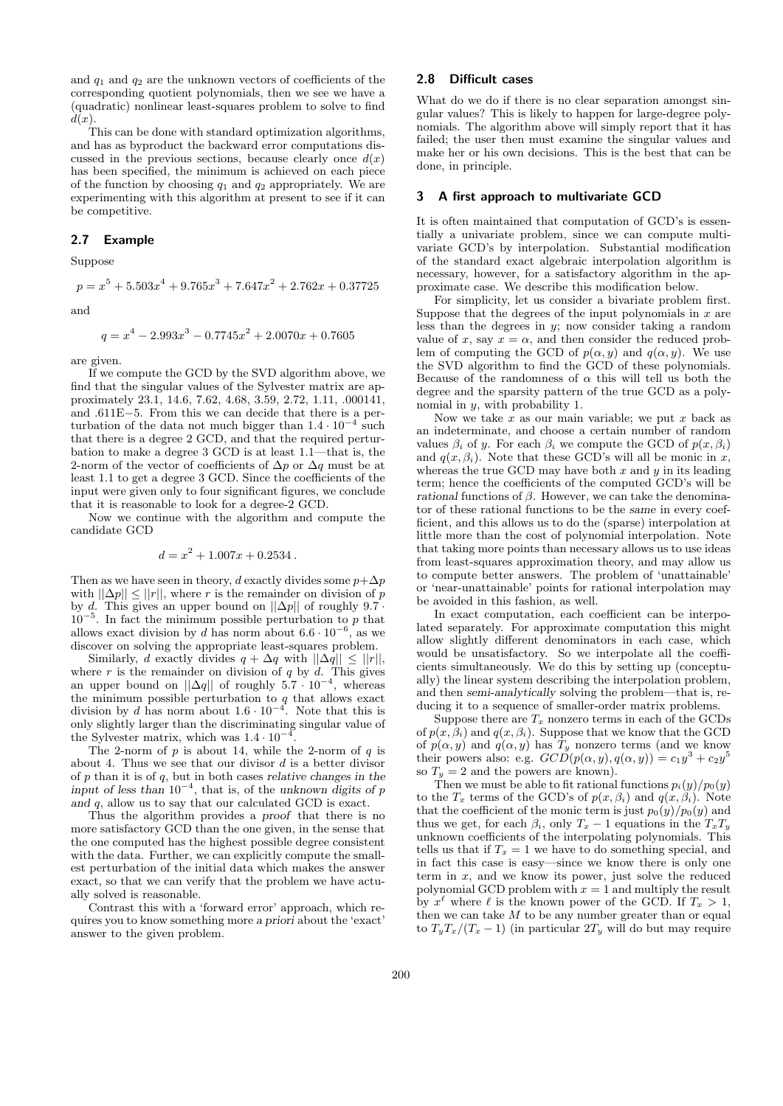and  $q_1$  and  $q_2$  are the unknown vectors of coefficients of the corresponding quotient polynomials, then we see we have a (quadratic) nonlinear least-squares problem to solve to find  $d(x)$ 

This can be done with standard optimization algorithms, and has as byproduct the backward error computations discussed in the previous sections, because clearly once  $d(x)$ has been specified, the minimum is achieved on each piece of the function by choosing  $q_1$  and  $q_2$  appropriately. We are experimenting with this algorithm at present to see if it can be competitive.

## 2.7 Example

Suppose

and

$$
q = x^4 - 2.993x^3 - 0.7745x^2 + 2.0070x + 0.7605
$$

 $p = x^5 + 5.503x^4 + 9.765x^3 + 7.647x^2 + 2.762x + 0.37725$ 

are given.

If we compute the GCD by the SVD algorithm above, we find that the singular values of the Sylvester matrix are approximately 23.1, 14.6, 7.62, 4.68, 3.59, 2.72, 1.11, .000141, and .611E−5. From this we can decide that there is a perturbation of the data not much bigger than  $1.4 \cdot 10^{-4}$  such that there is a degree 2 GCD, and that the required perturbation to make a degree 3 GCD is at least 1.1—that is, the 2-norm of the vector of coefficients of  $\Delta p$  or  $\Delta q$  must be at least 1.1 to get a degree 3 GCD. Since the coefficients of the input were given only to four significant figures, we conclude that it is reasonable to look for a degree-2 GCD.

Now we continue with the algorithm and compute the candidate GCD

$$
d = x^2 + 1.007x + 0.2534
$$
.

Then as we have seen in theory, d exactly divides some  $p + \Delta p$ with  $||\Delta p|| \le ||r||$ , where r is the remainder on division of p by d. This gives an upper bound on  $||\Delta p||$  of roughly 9.7 ·  $10^{-5}$ . In fact the minimum possible perturbation to p that allows exact division by  $d$  has norm about  $6.6\cdot 10^{-6}$ , as we discover on solving the appropriate least-squares problem.

Similarly, d exactly divides  $q + \Delta q$  with  $||\Delta q|| \leq ||r||$ , where r is the remainder on division of q by d. This gives an upper bound on  $||\Delta q||$  of roughly  $5.7 \cdot 10^{-4}$ , whereas the minimum possible perturbation to  $q$  that allows exact division by d has norm about  $1.6 \cdot 10^{-4}$ . Note that this is only slightly larger than the discriminating singular value of the Sylvester matrix, which was  $1.4 \cdot 10^{-4}$ .

The 2-norm of  $p$  is about 14, while the 2-norm of  $q$  is about 4. Thus we see that our divisor  $d$  is a better divisor of  $p$  than it is of  $q$ , but in both cases relative changes in the input of less than  $10^{-4}$ , that is, of the unknown digits of p and q, allow us to say that our calculated GCD is exact.

Thus the algorithm provides a proof that there is no more satisfactory GCD than the one given, in the sense that the one computed has the highest possible degree consistent with the data. Further, we can explicitly compute the smallest perturbation of the initial data which makes the answer exact, so that we can verify that the problem we have actually solved is reasonable.

Contrast this with a 'forward error' approach, which requires you to know something more a priori about the 'exact' answer to the given problem.

## 2.8 Difficult cases

What do we do if there is no clear separation amongst singular values? This is likely to happen for large-degree polynomials. The algorithm above will simply report that it has failed; the user then must examine the singular values and make her or his own decisions. This is the best that can be done, in principle.

#### 3 A first approach to multivariate GCD

It is often maintained that computation of GCD's is essentially a univariate problem, since we can compute multivariate GCD's by interpolation. Substantial modification of the standard exact algebraic interpolation algorithm is necessary, however, for a satisfactory algorithm in the approximate case. We describe this modification below.

For simplicity, let us consider a bivariate problem first. Suppose that the degrees of the input polynomials in  $x$  are less than the degrees in y; now consider taking a random value of x, say  $x = \alpha$ , and then consider the reduced problem of computing the GCD of  $p(\alpha, y)$  and  $q(\alpha, y)$ . We use the SVD algorithm to find the GCD of these polynomials. Because of the randomness of  $\alpha$  this will tell us both the degree and the sparsity pattern of the true GCD as a polynomial in y, with probability 1.

Now we take  $x$  as our main variable; we put  $x$  back as an indeterminate, and choose a certain number of random values  $\beta_i$  of y. For each  $\beta_i$  we compute the GCD of  $p(x, \beta_i)$ and  $q(x, \beta_i)$ . Note that these GCD's will all be monic in x, whereas the true GCD may have both  $x$  and  $y$  in its leading term; hence the coefficients of the computed GCD's will be rational functions of  $\beta$ . However, we can take the denominator of these rational functions to be the same in every coefficient, and this allows us to do the (sparse) interpolation at little more than the cost of polynomial interpolation. Note that taking more points than necessary allows us to use ideas from least-squares approximation theory, and may allow us to compute better answers. The problem of 'unattainable' or 'near-unattainable' points for rational interpolation may be avoided in this fashion, as well.

In exact computation, each coefficient can be interpolated separately. For approximate computation this might allow slightly different denominators in each case, which would be unsatisfactory. So we interpolate all the coefficients simultaneously. We do this by setting up (conceptually) the linear system describing the interpolation problem, and then semi-analytically solving the problem—that is, reducing it to a sequence of smaller-order matrix problems.

Suppose there are  $T<sub>x</sub>$  nonzero terms in each of the GCDs of  $p(x, \beta_i)$  and  $q(x, \beta_i)$ . Suppose that we know that the GCD of  $p(\alpha, y)$  and  $q(\alpha, y)$  has  $T_y$  nonzero terms (and we know their powers also: e.g.  $GCD(p(\alpha, y), q(\alpha, y)) = c_1y^3 + c_2y^5$ so  $T_u = 2$  and the powers are known).

Then we must be able to fit rational functions  $p_i(y)/p_0(y)$ to the  $T_x$  terms of the GCD's of  $p(x, \beta_i)$  and  $q(x, \beta_i)$ . Note that the coefficient of the monic term is just  $p_0(y)/p_0(y)$  and thus we get, for each  $\beta_i$ , only  $T_x - 1$  equations in the  $T_xT_y$ unknown coefficients of the interpolating polynomials. This tells us that if  $T_x = 1$  we have to do something special, and in fact this case is easy—since we know there is only one term in  $x$ , and we know its power, just solve the reduced polynomial GCD problem with  $x = 1$  and multiply the result by  $x^{\ell}$  where  $\ell$  is the known power of the GCD. If  $T_x > 1$ , then we can take  $M$  to be any number greater than or equal to  $T_yT_x/(T_x-1)$  (in particular  $2T_y$  will do but may require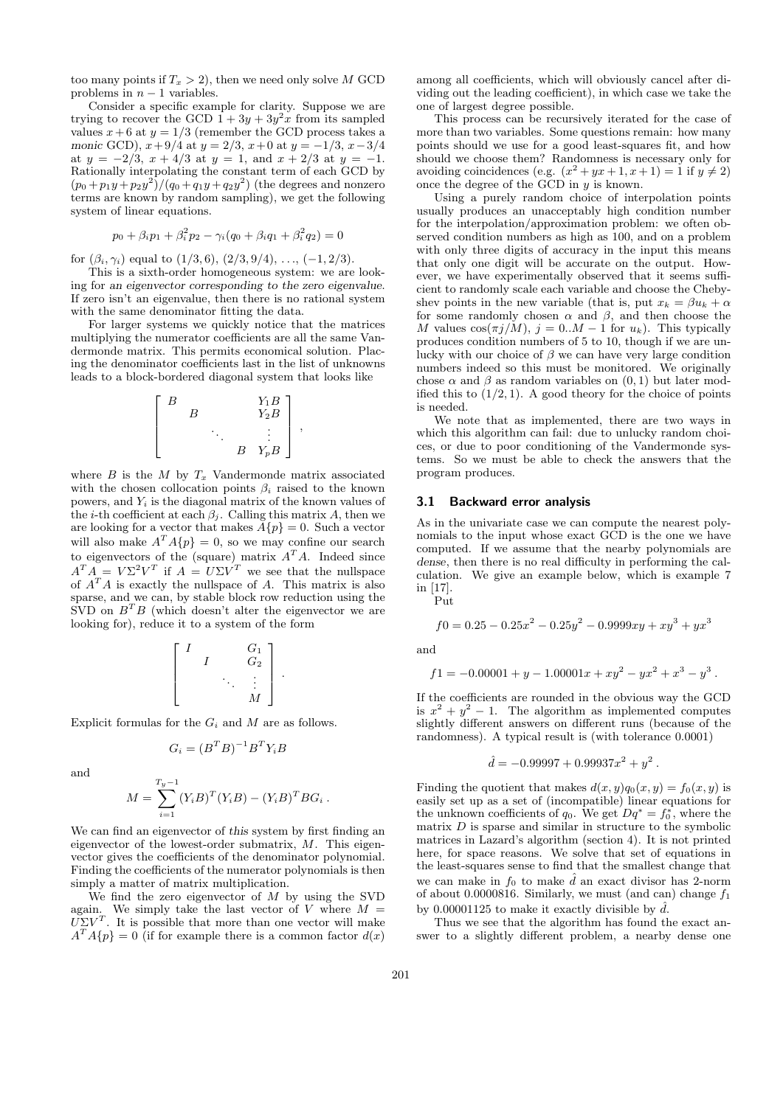too many points if  $T_x > 2$ , then we need only solve M GCD problems in  $n - 1$  variables.

Consider a specific example for clarity. Suppose we are trying to recover the GCD  $1 + 3y + 3y^2x$  from its sampled values  $x+6$  at  $y=1/3$  (remember the GCD process takes a monic GCD),  $x+9/4$  at  $y = 2/3$ ,  $x+0$  at  $y = -1/3$ ,  $x-3/4$ at  $y = -2/3$ ,  $x + 4/3$  at  $y = 1$ , and  $x + 2/3$  at  $y = -1$ . Rationally interpolating the constant term of each GCD by  $(p_0 + p_1y + p_2y^2)/(q_0 + q_1y + q_2y^2)$  (the degrees and nonzero terms are known by random sampling), we get the following system of linear equations.

$$
p_0 + \beta_i p_1 + \beta_i^2 p_2 - \gamma_i (q_0 + \beta_i q_1 + \beta_i^2 q_2) = 0
$$

for  $(\beta_i, \gamma_i)$  equal to  $(1/3, 6)$ ,  $(2/3, 9/4)$ , ...,  $(-1, 2/3)$ .

This is a sixth-order homogeneous system: we are looking for an eigenvector corresponding to the zero eigenvalue. If zero isn't an eigenvalue, then there is no rational system with the same denominator fitting the data.

For larger systems we quickly notice that the matrices multiplying the numerator coefficients are all the same Vandermonde matrix. This permits economical solution. Placing the denominator coefficients last in the list of unknowns leads to a block-bordered diagonal system that looks like

$$
\left[\begin{array}{cccc}\nB & & Y_1B \\
B & & Y_2B \\
& \ddots & \vdots \\
& & B & Y_pB\n\end{array}\right],
$$

where  $B$  is the  $M$  by  $T_x$  Vandermonde matrix associated with the chosen collocation points  $\beta_i$  raised to the known powers, and  $Y_i$  is the diagonal matrix of the known values of the *i*-th coefficient at each  $\beta_j$ . Calling this matrix A, then we are looking for a vector that makes  $A\{p\} = 0$ . Such a vector will also make  $A^T A \{p\} = 0$ , so we may confine our search to eigenvectors of the (square) matrix  $A<sup>T</sup>A$ . Indeed since  $A^T A = V \Sigma^2 V^T$  if  $A = U \Sigma V^T$  we see that the nullspace of  $A<sup>T</sup>A$  is exactly the nullspace of A. This matrix is also sparse, and we can, by stable block row reduction using the  $SVD$  on  $B^T B$  (which doesn't alter the eigenvector we are looking for), reduce it to a system of the form

$$
\left[\begin{array}{cccc} I & & G_1 \\ & I & & G_2 \\ & & \ddots & \vdots \\ & & & M \end{array}\right].
$$

Explicit formulas for the  $G_i$  and M are as follows.

$$
G_i = (B^T B)^{-1} B^T Y_i B
$$

and

$$
M = \sum_{i=1}^{T_y - 1} (Y_i B)^T (Y_i B) - (Y_i B)^T B G_i.
$$

We can find an eigenvector of this system by first finding an eigenvector of the lowest-order submatrix, M. This eigenvector gives the coefficients of the denominator polynomial. Finding the coefficients of the numerator polynomials is then simply a matter of matrix multiplication.

We find the zero eigenvector of  $M$  by using the SVD again. We simply take the last vector of V where  $M =$  $U\Sigma V^T$ . It is possible that more than one vector will make  $A^T A \{p\} = 0$  (if for example there is a common factor  $d(x)$ 

among all coefficients, which will obviously cancel after dividing out the leading coefficient), in which case we take the one of largest degree possible.

This process can be recursively iterated for the case of more than two variables. Some questions remain: how many points should we use for a good least-squares fit, and how should we choose them? Randomness is necessary only for avoiding coincidences (e.g.  $(x^2 + yx + 1, x + 1) = 1$  if  $y \neq 2$ ) once the degree of the GCD in  $y$  is known.

Using a purely random choice of interpolation points usually produces an unacceptably high condition number for the interpolation/approximation problem: we often observed condition numbers as high as 100, and on a problem with only three digits of accuracy in the input this means that only one digit will be accurate on the output. However, we have experimentally observed that it seems sufficient to randomly scale each variable and choose the Chebyshev points in the new variable (that is, put  $x_k = \beta u_k + \alpha$ for some randomly chosen  $\alpha$  and  $\beta$ , and then choose the M values  $\cos(\pi j/M)$ ,  $j = 0..M - 1$  for  $u_k$ ). This typically produces condition numbers of 5 to 10, though if we are unlucky with our choice of  $\beta$  we can have very large condition numbers indeed so this must be monitored. We originally chose  $\alpha$  and  $\beta$  as random variables on  $(0, 1)$  but later modified this to  $(1/2, 1)$ . A good theory for the choice of points is needed.

We note that as implemented, there are two ways in which this algorithm can fail: due to unlucky random choices, or due to poor conditioning of the Vandermonde systems. So we must be able to check the answers that the program produces.

#### 3.1 Backward error analysis

As in the univariate case we can compute the nearest polynomials to the input whose exact GCD is the one we have computed. If we assume that the nearby polynomials are dense, then there is no real difficulty in performing the calculation. We give an example below, which is example 7 in [17]. Put

$$
f0 = 0.25 - 0.25x^{2} - 0.25y^{2} - 0.9999xy + xy^{3} + yx^{3}
$$

and

$$
f1 = -0.00001 + y - 1.00001x + xy^{2} - yx^{2} + x^{3} - y^{3}.
$$

If the coefficients are rounded in the obvious way the GCD is  $x^2 + y^2 - 1$ . The algorithm as implemented computes slightly different answers on different runs (because of the randomness). A typical result is (with tolerance 0.0001)

$$
\hat{d} = -0.99997 + 0.99937x^2 + y^2.
$$

Finding the quotient that makes  $d(x, y)q_0(x, y) = f_0(x, y)$  is easily set up as a set of (incompatible) linear equations for the unknown coefficients of  $q_0$ . We get  $Dq^* = f_0^*$ , where the matrix  $D$  is sparse and similar in structure to the symbolic matrices in Lazard's algorithm (section 4). It is not printed here, for space reasons. We solve that set of equations in the least-squares sense to find that the smallest change that we can make in  $f_0$  to make  $\hat{d}$  an exact divisor has 2-norm of about 0.0000816. Similarly, we must (and can) change  $f_1$ by 0.00001125 to make it exactly divisible by  $\hat{d}$ .

Thus we see that the algorithm has found the exact answer to a slightly different problem, a nearby dense one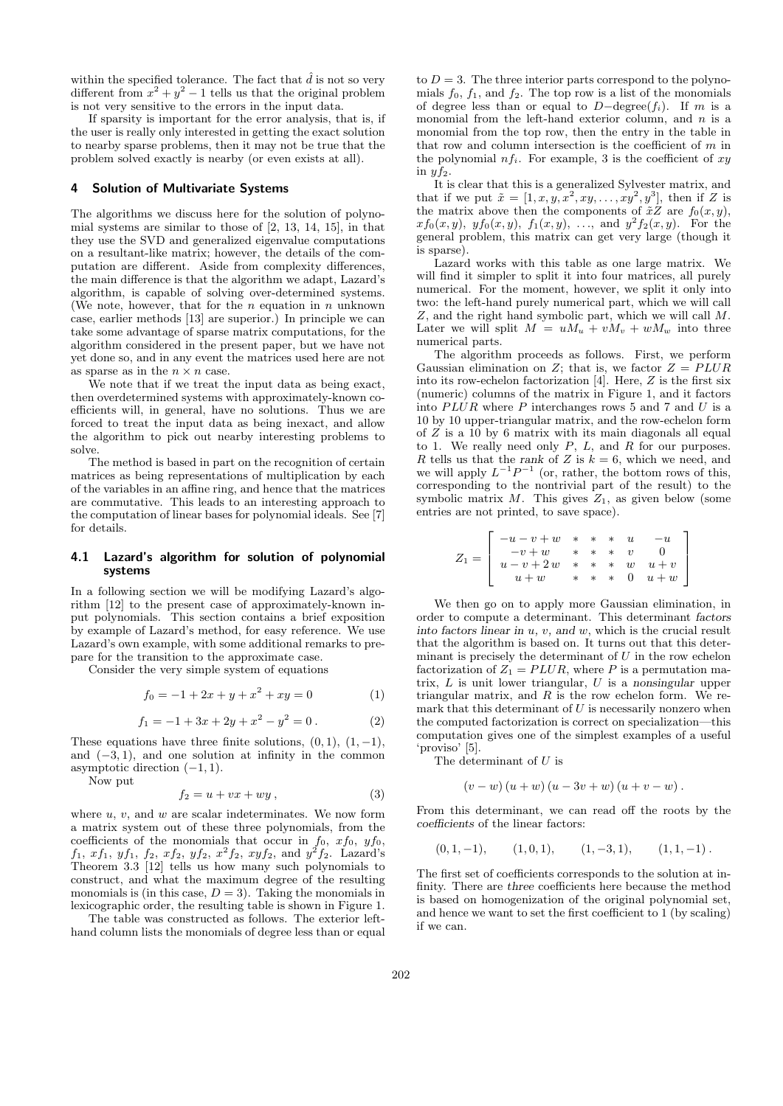within the specified tolerance. The fact that  $\hat{d}$  is not so very different from  $x^2 + y^2 - 1$  tells us that the original problem is not very sensitive to the errors in the input data.

If sparsity is important for the error analysis, that is, if the user is really only interested in getting the exact solution to nearby sparse problems, then it may not be true that the problem solved exactly is nearby (or even exists at all).

## 4 Solution of Multivariate Systems

The algorithms we discuss here for the solution of polynomial systems are similar to those of [2, 13, 14, 15], in that they use the SVD and generalized eigenvalue computations on a resultant-like matrix; however, the details of the computation are different. Aside from complexity differences, the main difference is that the algorithm we adapt, Lazard's algorithm, is capable of solving over-determined systems. (We note, however, that for the  $n$  equation in  $n$  unknown case, earlier methods [13] are superior.) In principle we can take some advantage of sparse matrix computations, for the algorithm considered in the present paper, but we have not yet done so, and in any event the matrices used here are not as sparse as in the  $n \times n$  case.

We note that if we treat the input data as being exact, then overdetermined systems with approximately-known coefficients will, in general, have no solutions. Thus we are forced to treat the input data as being inexact, and allow the algorithm to pick out nearby interesting problems to solve.

The method is based in part on the recognition of certain matrices as being representations of multiplication by each of the variables in an affine ring, and hence that the matrices are commutative. This leads to an interesting approach to the computation of linear bases for polynomial ideals. See [7] for details.

## 4.1 Lazard's algorithm for solution of polynomial systems

In a following section we will be modifying Lazard's algorithm [12] to the present case of approximately-known input polynomials. This section contains a brief exposition by example of Lazard's method, for easy reference. We use Lazard's own example, with some additional remarks to prepare for the transition to the approximate case.

Consider the very simple system of equations

$$
f_0 = -1 + 2x + y + x^2 + xy = 0 \tag{1}
$$

$$
f_1 = -1 + 3x + 2y + x^2 - y^2 = 0.
$$
 (2)

These equations have three finite solutions,  $(0, 1)$ ,  $(1, -1)$ , and  $(-3, 1)$ , and one solution at infinity in the common asymptotic direction  $(-1, 1)$ .

Now put

$$
f_2 = u + vx + wy , \t\t(3)
$$

where  $u, v$ , and  $w$  are scalar indeterminates. We now form a matrix system out of these three polynomials, from the coefficients of the monomials that occur in  $f_0$ ,  $xf_0$ ,  $yf_0$ ,  $f_1, x f_1, y f_1, f_2, x f_2, y f_2, x^2 f_2, xy f_2$ , and  $y^2 f_2$ . Lazard's Theorem 3.3 [12] tells us how many such polynomials to construct, and what the maximum degree of the resulting monomials is (in this case,  $D = 3$ ). Taking the monomials in lexicographic order, the resulting table is shown in Figure 1.

The table was constructed as follows. The exterior lefthand column lists the monomials of degree less than or equal

to  $D = 3$ . The three interior parts correspond to the polynomials  $f_0$ ,  $f_1$ , and  $f_2$ . The top row is a list of the monomials of degree less than or equal to  $D-\text{degree}(f_i)$ . If m is a monomial from the left-hand exterior column, and  $n$  is a monomial from the top row, then the entry in the table in that row and column intersection is the coefficient of  $m$  in the polynomial  $nf_i$ . For example, 3 is the coefficient of  $xy$ in  $y f_2$ .

It is clear that this is a generalized Sylvester matrix, and that if we put  $\tilde{x} = [1, x, y, x^2, xy, \dots, xy^2, y^3]$ , then if Z is the matrix above then the components of  $\tilde{x}Z$  are  $f_0(x, y)$ ,  $xf_0(x, y), yf_0(x, y), f_1(x, y), \ldots$ , and  $y^2f_2(x, y)$ . For the general problem, this matrix can get very large (though it is sparse).

Lazard works with this table as one large matrix. We will find it simpler to split it into four matrices, all purely numerical. For the moment, however, we split it only into two: the left-hand purely numerical part, which we will call Z, and the right hand symbolic part, which we will call M. Later we will split  $M = uM_u + vM_v + wM_w$  into three numerical parts.

The algorithm proceeds as follows. First, we perform Gaussian elimination on Z; that is, we factor  $Z = PLUR$ into its row-echelon factorization  $[4]$ . Here,  $Z$  is the first six (numeric) columns of the matrix in Figure 1, and it factors into  $PLUR$  where  $P$  interchanges rows 5 and 7 and  $U$  is a 10 by 10 upper-triangular matrix, and the row-echelon form of Z is a 10 by 6 matrix with its main diagonals all equal to 1. We really need only  $P$ ,  $L$ , and  $R$  for our purposes. R tells us that the rank of Z is  $k = 6$ , which we need, and we will apply  $L^{-1}P^{-1}$  (or, rather, the bottom rows of this, corresponding to the nontrivial part of the result) to the symbolic matrix M. This gives  $Z_1$ , as given below (some entries are not printed, to save space).

$$
Z_1 = \left[\begin{array}{cccccc} -u - v + w & * & * & * & u & -u \\ -v + w & * & * & * & v & 0 \\ u - v + 2w & * & * & w & u + v \\ u + w & * & * & * & 0 & u + w \end{array}\right]
$$

We then go on to apply more Gaussian elimination, in order to compute a determinant. This determinant factors into factors linear in  $u, v,$  and  $w$ , which is the crucial result that the algorithm is based on. It turns out that this determinant is precisely the determinant of  $U$  in the row echelon factorization of  $Z_1 = PLUR$ , where P is a permutation matrix,  $L$  is unit lower triangular,  $U$  is a nonsingular upper triangular matrix, and  $R$  is the row echelon form. We remark that this determinant of  $U$  is necessarily nonzero when the computed factorization is correct on specialization—this computation gives one of the simplest examples of a useful 'proviso' [5].

The determinant of  $U$  is

$$
(v-w) (u+w) (u-3v+w) (u+v-w).
$$

From this determinant, we can read off the roots by the coefficients of the linear factors:

 $(0, 1, -1),$   $(1, 0, 1),$   $(1, -3, 1),$   $(1, 1, -1)$ .

The first set of coefficients corresponds to the solution at infinity. There are three coefficients here because the method is based on homogenization of the original polynomial set, and hence we want to set the first coefficient to 1 (by scaling) if we can.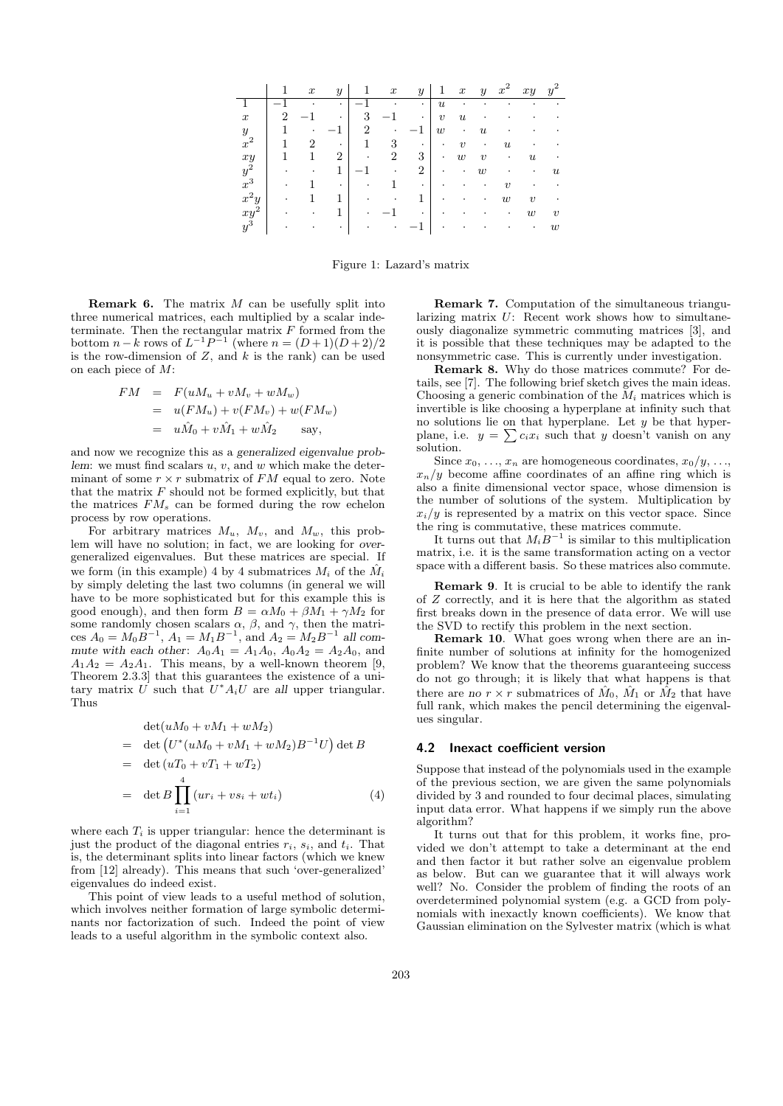|                     |                          | $\boldsymbol{x}$ | $\boldsymbol{y}$ |                          | $\boldsymbol{x}$ | $\mathcal{Y}$  | 1                | $\boldsymbol{x}$ | $\boldsymbol{y}$          | $x^{\cdot}$               | xy                  | $\boldsymbol{2}$<br>$y^{\cdot}$ |
|---------------------|--------------------------|------------------|------------------|--------------------------|------------------|----------------|------------------|------------------|---------------------------|---------------------------|---------------------|---------------------------------|
|                     | $\overline{\phantom{0}}$ |                  | ۰                | $\overline{\phantom{0}}$ |                  | ٠              | $\boldsymbol{u}$ |                  |                           |                           |                     |                                 |
| $\boldsymbol{x}$    | 2                        | -                | ٠                | 3                        |                  | ٠              | $\boldsymbol{v}$ | $\boldsymbol{u}$ |                           |                           |                     |                                 |
| $\boldsymbol{y}$    |                          | ٠                |                  | $\overline{2}$           |                  |                | w                | ٠                | $\boldsymbol{\mathit{u}}$ |                           |                     |                                 |
| $x^2$               |                          | $\overline{2}$   | ٠                | 1                        | 3                | ٠              | ٠                | $\boldsymbol{v}$ | ٠                         | $\boldsymbol{\mathit{u}}$ |                     |                                 |
| xy                  |                          | 1                | $\overline{2}$   |                          | $\overline{2}$   | 3              | ٠                | $\boldsymbol{w}$ | $\boldsymbol{v}$          | ٠                         | $\boldsymbol{u}$    |                                 |
| $y^2$               |                          | ٠                | 1                | $-1$                     | ٠                | $\overline{2}$ | ٠                | ٠                | $\boldsymbol{w}$          |                           | ٠                   | $\boldsymbol{u}$                |
| $x^3$               |                          |                  | ٠                |                          |                  | ٠              |                  |                  |                           | $\boldsymbol{\eta}$       |                     |                                 |
| $x^2y$              | ٠                        |                  | 1                |                          | ٠                | 1              | ٠                |                  | ٠                         | $\boldsymbol{w}$          | $\boldsymbol{\eta}$ | ٠                               |
|                     |                          |                  | 1                |                          |                  | ٠              |                  |                  |                           | ٠                         | $\boldsymbol{w}$    | $\boldsymbol{v}$                |
| $\overset{xy}{y^3}$ |                          |                  | ٠                |                          |                  |                |                  |                  |                           |                           | ٠                   | w                               |

Figure 1: Lazard's matrix

**Remark 6.** The matrix  $M$  can be usefully split into three numerical matrices, each multiplied by a scalar indeterminate. Then the rectangular matrix  $F$  formed from the bottom  $n - k$  rows of  $L^{-1}P^{-1}$  (where  $n = (D+1)(D+2)/2$ is the row-dimension of  $Z$ , and  $k$  is the rank) can be used on each piece of M:

$$
FM = F(uM_u + vM_v + wM_w)
$$
  
=  $u(FM_u) + v(FM_v) + w(FM_w)$   
=  $u\hat{M}_0 + v\hat{M}_1 + w\hat{M}_2$  say,

and now we recognize this as a generalized eigenvalue problem: we must find scalars  $u, v$ , and  $w$  which make the determinant of some  $r \times r$  submatrix of  $FM$  equal to zero. Note that the matrix  $F$  should not be formed explicitly, but that the matrices  $FM_s$  can be formed during the row echelon process by row operations.

For arbitrary matrices  $M_u$ ,  $M_v$ , and  $M_w$ , this problem will have no solution; in fact, we are looking for overgeneralized eigenvalues. But these matrices are special. If we form (in this example) 4 by 4 submatrices  $M_i$  of the  $\hat{M}_i$ by simply deleting the last two columns (in general we will have to be more sophisticated but for this example this is good enough), and then form  $B = \alpha M_0 + \beta M_1 + \gamma M_2$  for some randomly chosen scalars  $\alpha$ ,  $\beta$ , and  $\gamma$ , then the matrices  $A_0 = M_0 \ddot{B}^{-1}$ ,  $A_1 = M_1 B^{-1}$ , and  $A_2 = M_2 B^{-1}$  all commute with each other:  $A_0A_1 = A_1A_0$ ,  $A_0A_2 = A_2A_0$ , and  $A_1A_2 = A_2A_1$ . This means, by a well-known theorem [9, Theorem 2.3.3] that this guarantees the existence of a unitary matrix U such that  $U^*A_iU$  are all upper triangular. Thus

$$
\det(uM_0 + vM_1 + wM_2) \n= \det (U^*(uM_0 + vM_1 + wM_2)B^{-1}U) \det B \n= \det (uT_0 + vT_1 + wT_2) \n= \det B \prod_{i=1}^4 (ur_i + vs_i + wt_i)
$$
\n(4)

where each  $T_i$  is upper triangular: hence the determinant is just the product of the diagonal entries  $r_i$ ,  $s_i$ , and  $t_i$ . That is, the determinant splits into linear factors (which we knew from [12] already). This means that such 'over-generalized' eigenvalues do indeed exist.

This point of view leads to a useful method of solution, which involves neither formation of large symbolic determinants nor factorization of such. Indeed the point of view leads to a useful algorithm in the symbolic context also.

Remark 7. Computation of the simultaneous triangularizing matrix U: Recent work shows how to simultaneously diagonalize symmetric commuting matrices [3], and it is possible that these techniques may be adapted to the nonsymmetric case. This is currently under investigation.

Remark 8. Why do those matrices commute? For details, see [7]. The following brief sketch gives the main ideas. Choosing a generic combination of the  $M_i$  matrices which is invertible is like choosing a hyperplane at infinity such that no solutions lie on that hyperplane. Let  $y$  be that hyperplane, i.e.  $y = \sum c_i x_i$  such that y doesn't vanish on any solution.

Since  $x_0, \ldots, x_n$  are homogeneous coordinates,  $x_0/y, \ldots$ ,  $x_n/y$  become affine coordinates of an affine ring which is also a finite dimensional vector space, whose dimension is the number of solutions of the system. Multiplication by  $x_i/y$  is represented by a matrix on this vector space. Since the ring is commutative, these matrices commute.

It turns out that  $M_i B^{-1}$  is similar to this multiplication matrix, i.e. it is the same transformation acting on a vector space with a different basis. So these matrices also commute.

Remark 9. It is crucial to be able to identify the rank of Z correctly, and it is here that the algorithm as stated first breaks down in the presence of data error. We will use the SVD to rectify this problem in the next section.

Remark 10. What goes wrong when there are an infinite number of solutions at infinity for the homogenized problem? We know that the theorems guaranteeing success do not go through; it is likely that what happens is that there are no  $r \times r$  submatrices of  $\hat{M}_0$ ,  $\hat{M}_1$  or  $\hat{M}_2$  that have full rank, which makes the pencil determining the eigenvalues singular.

## 4.2 Inexact coefficient version

Suppose that instead of the polynomials used in the example of the previous section, we are given the same polynomials divided by 3 and rounded to four decimal places, simulating input data error. What happens if we simply run the above algorithm?

It turns out that for this problem, it works fine, provided we don't attempt to take a determinant at the end and then factor it but rather solve an eigenvalue problem as below. But can we guarantee that it will always work well? No. Consider the problem of finding the roots of an overdetermined polynomial system (e.g. a GCD from polynomials with inexactly known coefficients). We know that Gaussian elimination on the Sylvester matrix (which is what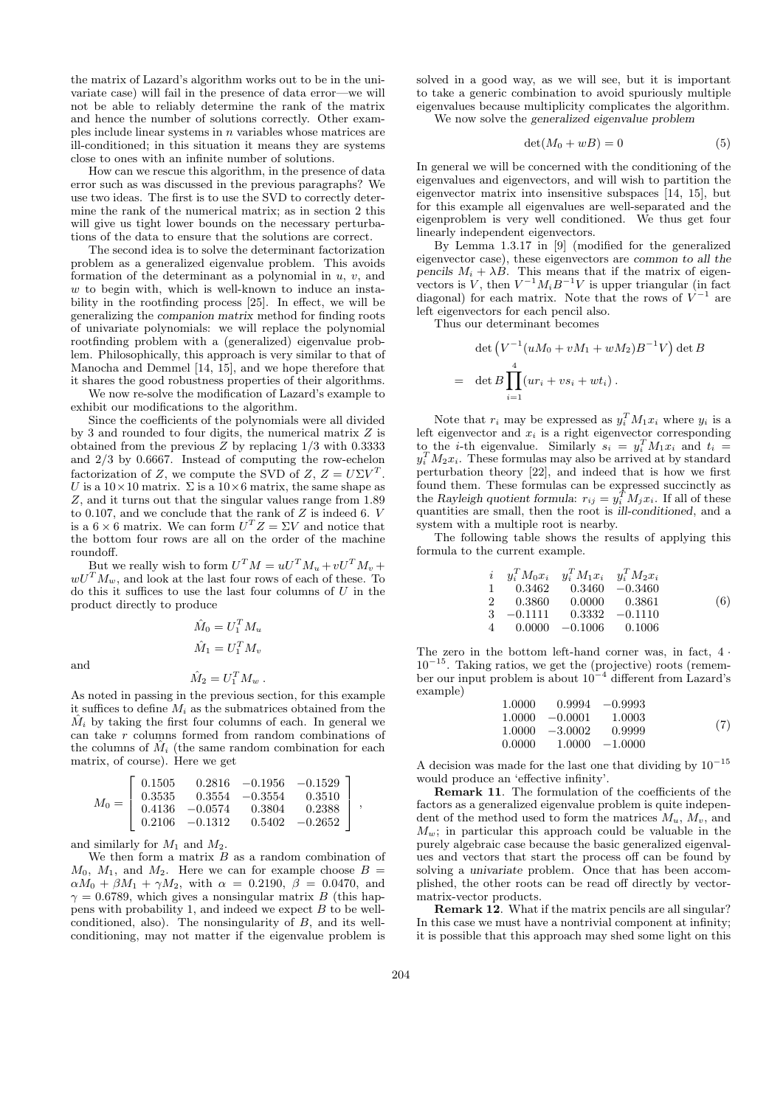the matrix of Lazard's algorithm works out to be in the univariate case) will fail in the presence of data error—we will not be able to reliably determine the rank of the matrix and hence the number of solutions correctly. Other examples include linear systems in n variables whose matrices are ill-conditioned; in this situation it means they are systems close to ones with an infinite number of solutions.

How can we rescue this algorithm, in the presence of data error such as was discussed in the previous paragraphs? We use two ideas. The first is to use the SVD to correctly determine the rank of the numerical matrix; as in section 2 this will give us tight lower bounds on the necessary perturbations of the data to ensure that the solutions are correct.

The second idea is to solve the determinant factorization problem as a generalized eigenvalue problem. This avoids formation of the determinant as a polynomial in  $u, v$ , and  $w$  to begin with, which is well-known to induce an instability in the rootfinding process [25]. In effect, we will be generalizing the companion matrix method for finding roots of univariate polynomials: we will replace the polynomial rootfinding problem with a (generalized) eigenvalue problem. Philosophically, this approach is very similar to that of Manocha and Demmel [14, 15], and we hope therefore that it shares the good robustness properties of their algorithms.

We now re-solve the modification of Lazard's example to exhibit our modifications to the algorithm.

Since the coefficients of the polynomials were all divided by 3 and rounded to four digits, the numerical matrix  $Z$  is obtained from the previous  $\tilde{Z}$  by replacing 1/3 with 0.3333 and 2/3 by 0.6667. Instead of computing the row-echelon factorization of Z, we compute the SVD of  $Z, Z = U\Sigma V^T$ . U is a  $10 \times 10$  matrix.  $\Sigma$  is a  $10 \times 6$  matrix, the same shape as Z, and it turns out that the singular values range from 1.89 to 0.107, and we conclude that the rank of Z is indeed 6. V is a  $6 \times 6$  matrix. We can form  $U^{T}Z = \Sigma V$  and notice that the bottom four rows are all on the order of the machine roundoff.

But we really wish to form  $U^T M = uU^T M_u + vU^T M_v +$  $wU^{T}M_{w}$ , and look at the last four rows of each of these. To do this it suffices to use the last four columns of  $U$  in the product directly to produce

> $\hat{M}_0 = U_1^T M_u$  $\hat{M}_1 = U_1^T M_v$  $\hat{M}_2 = U_1^T M_w$ .

As noted in passing in the previous section, for this example it suffices to define  $M_i$  as the submatrices obtained from the  $\hat{M}_i$  by taking the first four columns of each. In general we can take r columns formed from random combinations of the columns of  $\tilde{M}_i$  (the same random combination for each matrix, of course). Here we get

$$
M_0=\left[\begin{array}{cccc}0.1505&0.2816&-0.1956&-0.1529\\0.3535&0.3554&-0.3554&0.3510\\0.4136&-0.0574&0.3804&0.2388\\0.2106&-0.1312&0.5402&-0.2652\end{array}\right],
$$

and similarly for  $M_1$  and  $M_2$ .

and

We then form a matrix  $B$  as a random combination of  $M_0$ ,  $M_1$ , and  $M_2$ . Here we can for example choose  $B =$  $\alpha M_0 + \beta M_1 + \gamma M_2$ , with  $\alpha = 0.2190, \ \beta = 0.0470, \text{ and}$  $\gamma = 0.6789$ , which gives a nonsingular matrix B (this happens with probability 1, and indeed we expect  $B$  to be wellconditioned, also). The nonsingularity of  $B$ , and its wellconditioning, may not matter if the eigenvalue problem is

solved in a good way, as we will see, but it is important to take a generic combination to avoid spuriously multiple eigenvalues because multiplicity complicates the algorithm.

We now solve the generalized eigenvalue problem

$$
\det(M_0 + wB) = 0 \tag{5}
$$

In general we will be concerned with the conditioning of the eigenvalues and eigenvectors, and will wish to partition the eigenvector matrix into insensitive subspaces [14, 15], but for this example all eigenvalues are well-separated and the eigenproblem is very well conditioned. We thus get four linearly independent eigenvectors.

By Lemma 1.3.17 in [9] (modified for the generalized eigenvector case), these eigenvectors are common to all the pencils  $M_i + \lambda B$ . This means that if the matrix of eigenvectors is V, then  $V^{-1}M_iB^{-1}V$  is upper triangular (in fact diagonal) for each matrix. Note that the rows of  $V^{-1}$  are left eigenvectors for each pencil also.

Thus our determinant becomes

$$
\det \left( V^{-1} (uM_0 + vM_1 + wM_2) B^{-1} V \right) \det B
$$

$$
= \det B \prod_{i=1}^4 (ur_i + vs_i + wt_i) .
$$

Note that  $r_i$  may be expressed as  $y_i^T M_1 x_i$  where  $y_i$  is a left eigenvector and  $x_i$  is a right eigenvector corresponding to the *i*-th eigenvalue. Similarly  $s_i = y_i^T M_1 x_i$  and  $t_i =$  $y_i^T M_2 x_i$ . These formulas may also be arrived at by standard perturbation theory [22], and indeed that is how we first found them. These formulas can be expressed succinctly as the Rayleigh quotient formula:  $r_{ij} = y_i^T M_j x_i$ . If all of these quantities are small, then the root is ill-conditioned, and a system with a multiple root is nearby.

The following table shows the results of applying this formula to the current example.

$$
\begin{array}{cccccc}\ni & y_i^T M_0 x_i & y_i^T M_1 x_i & y_i^T M_2 x_i \\
1 & 0.3462 & 0.3460 & -0.3460 \\
2 & 0.3860 & 0.0000 & 0.3861 \\
3 & -0.1111 & 0.3332 & -0.1110 \\
4 & 0.0000 & -0.1006 & 0.1006\n\end{array} \tag{6}
$$

The zero in the bottom left-hand corner was, in fact,  $4 \cdot$  $10^{-15}$ . Taking ratios, we get the (projective) roots (remember our input problem is about 10<sup>−</sup><sup>4</sup> different from Lazard's example)

| 1.0000 |                   | $0.9994 -0.9993$  |     |
|--------|-------------------|-------------------|-----|
|        | $1.0000 - 0.0001$ | 1.0003            |     |
|        | $1.0000 - 3.0002$ | 0.9999            | (7) |
| 0.0000 |                   | $1.0000 - 1.0000$ |     |

A decision was made for the last one that dividing by  $10^{\,-15}$ would produce an 'effective infinity'.

Remark 11. The formulation of the coefficients of the factors as a generalized eigenvalue problem is quite independent of the method used to form the matrices  $M_u$ ,  $M_v$ , and  $M_w$ ; in particular this approach could be valuable in the purely algebraic case because the basic generalized eigenvalues and vectors that start the process off can be found by solving a univariate problem. Once that has been accomplished, the other roots can be read off directly by vectormatrix-vector products.

Remark 12. What if the matrix pencils are all singular? In this case we must have a nontrivial component at infinity; it is possible that this approach may shed some light on this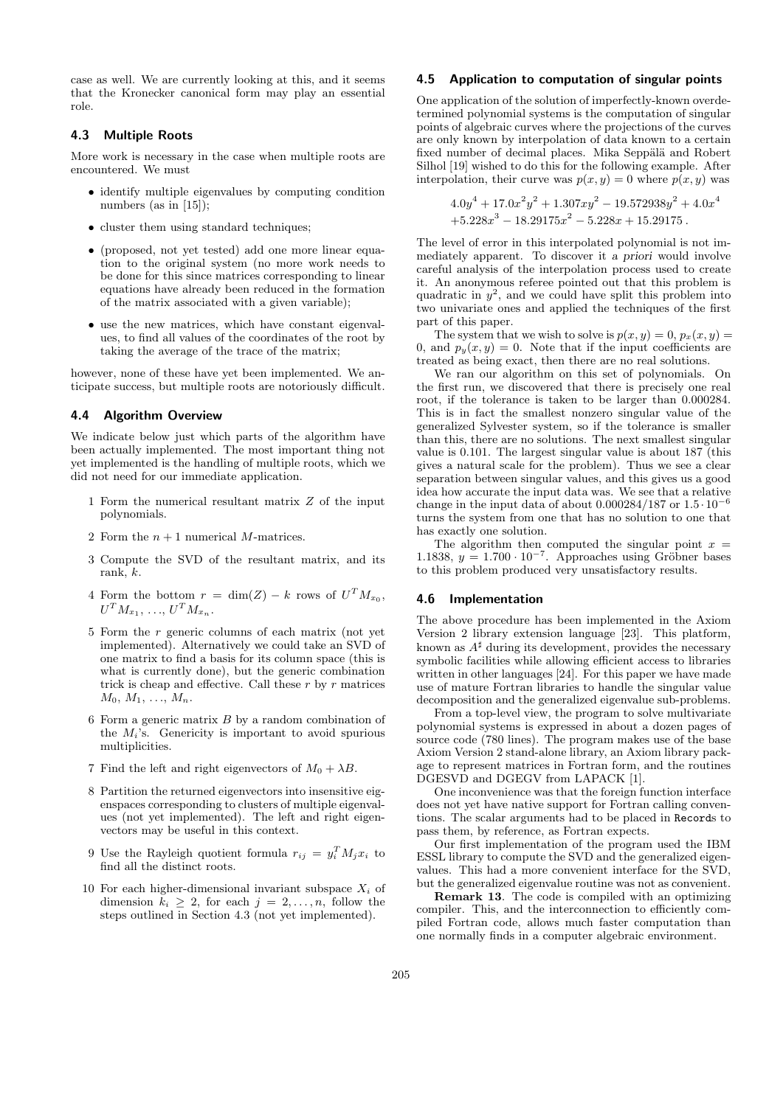case as well. We are currently looking at this, and it seems that the Kronecker canonical form may play an essential role.

## 4.3 Multiple Roots

More work is necessary in the case when multiple roots are encountered. We must

- identify multiple eigenvalues by computing condition numbers (as in [15]);
- cluster them using standard techniques;
- (proposed, not yet tested) add one more linear equation to the original system (no more work needs to be done for this since matrices corresponding to linear equations have already been reduced in the formation of the matrix associated with a given variable);
- use the new matrices, which have constant eigenvalues, to find all values of the coordinates of the root by taking the average of the trace of the matrix;

however, none of these have yet been implemented. We anticipate success, but multiple roots are notoriously difficult.

## 4.4 Algorithm Overview

We indicate below just which parts of the algorithm have been actually implemented. The most important thing not yet implemented is the handling of multiple roots, which we did not need for our immediate application.

- 1 Form the numerical resultant matrix Z of the input polynomials.
- 2 Form the  $n + 1$  numerical M-matrices.
- 3 Compute the SVD of the resultant matrix, and its rank, k.
- 4 Form the bottom  $r = \dim(Z) k$  rows of  $U^T M_{x_0}$ ,  $U^{T} M_{x_{1}}, \ldots, U^{T} M_{x_{n}}.$
- 5 Form the r generic columns of each matrix (not yet implemented). Alternatively we could take an SVD of one matrix to find a basis for its column space (this is what is currently done), but the generic combination trick is cheap and effective. Call these  $r$  by  $r$  matrices  $M_0, M_1, \ldots, M_n$ .
- 6 Form a generic matrix  $B$  by a random combination of the  $M_i$ 's. Genericity is important to avoid spurious multiplicities.
- 7 Find the left and right eigenvectors of  $M_0 + \lambda B$ .
- 8 Partition the returned eigenvectors into insensitive eigenspaces corresponding to clusters of multiple eigenvalues (not yet implemented). The left and right eigenvectors may be useful in this context.
- 9 Use the Rayleigh quotient formula  $r_{ij} = y_i^T M_j x_i$  to find all the distinct roots.
- 10 For each higher-dimensional invariant subspace  $X_i$  of dimension  $k_i \geq 2$ , for each  $j = 2, \ldots, n$ , follow the steps outlined in Section 4.3 (not yet implemented).

## 4.5 Application to computation of singular points

One application of the solution of imperfectly-known overdetermined polynomial systems is the computation of singular points of algebraic curves where the projections of the curves are only known by interpolation of data known to a certain fixed number of decimal places. Mika Seppälä and Robert Silhol [19] wished to do this for the following example. After interpolation, their curve was  $p(x, y) = 0$  where  $p(x, y)$  was

$$
4.0y4 + 17.0x2y2 + 1.307xy2 - 19.572938y2 + 4.0x4
$$
  
+5.228x<sup>3</sup> - 18.29175x<sup>2</sup> - 5.228x + 15.29175.

The level of error in this interpolated polynomial is not immediately apparent. To discover it a priori would involve careful analysis of the interpolation process used to create it. An anonymous referee pointed out that this problem is quadratic in  $y^2$ , and we could have split this problem into two univariate ones and applied the techniques of the first part of this paper.

The system that we wish to solve is  $p(x, y) = 0$ ,  $p_x(x, y) = 0$ 0, and  $p_y(x, y) = 0$ . Note that if the input coefficients are treated as being exact, then there are no real solutions.

We ran our algorithm on this set of polynomials. On the first run, we discovered that there is precisely one real root, if the tolerance is taken to be larger than 0.000284. This is in fact the smallest nonzero singular value of the generalized Sylvester system, so if the tolerance is smaller than this, there are no solutions. The next smallest singular value is 0.101. The largest singular value is about 187 (this gives a natural scale for the problem). Thus we see a clear separation between singular values, and this gives us a good idea how accurate the input data was. We see that a relative change in the input data of about  $0.000284/187$  or  $1.5 \cdot 10^{-6}$ turns the system from one that has no solution to one that has exactly one solution.

The algorithm then computed the singular point  $x =$ 1.1838,  $y = 1.700 \cdot 10^{-7}$ . Approaches using Gröbner bases to this problem produced very unsatisfactory results.

#### 4.6 Implementation

The above procedure has been implemented in the Axiom Version 2 library extension language [23]. This platform, known as  $A^{\sharp}$  during its development, provides the necessary symbolic facilities while allowing efficient access to libraries written in other languages [24]. For this paper we have made use of mature Fortran libraries to handle the singular value decomposition and the generalized eigenvalue sub-problems.

From a top-level view, the program to solve multivariate polynomial systems is expressed in about a dozen pages of source code (780 lines). The program makes use of the base Axiom Version 2 stand-alone library, an Axiom library package to represent matrices in Fortran form, and the routines DGESVD and DGEGV from LAPACK [1].

One inconvenience was that the foreign function interface does not yet have native support for Fortran calling conventions. The scalar arguments had to be placed in Records to pass them, by reference, as Fortran expects.

Our first implementation of the program used the IBM ESSL library to compute the SVD and the generalized eigenvalues. This had a more convenient interface for the SVD, but the generalized eigenvalue routine was not as convenient.

Remark 13. The code is compiled with an optimizing compiler. This, and the interconnection to efficiently compiled Fortran code, allows much faster computation than one normally finds in a computer algebraic environment.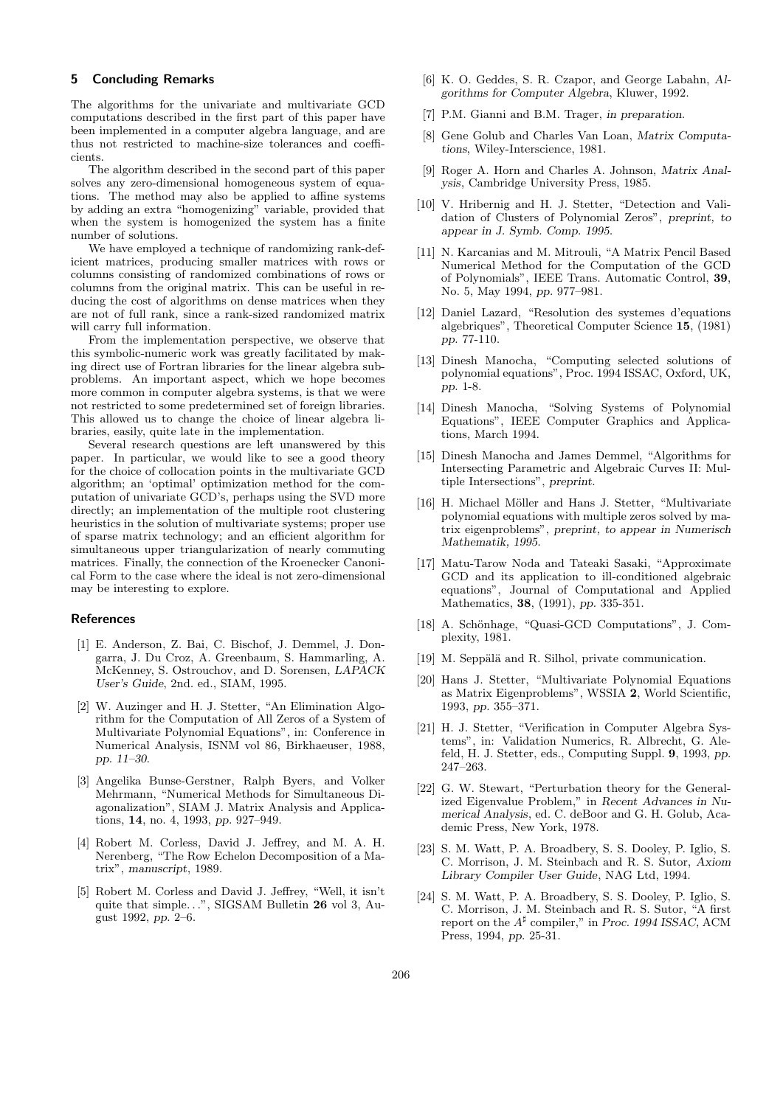## 5 Concluding Remarks

The algorithms for the univariate and multivariate GCD computations described in the first part of this paper have been implemented in a computer algebra language, and are thus not restricted to machine-size tolerances and coefficients.

The algorithm described in the second part of this paper solves any zero-dimensional homogeneous system of equations. The method may also be applied to affine systems by adding an extra "homogenizing" variable, provided that when the system is homogenized the system has a finite number of solutions.

We have employed a technique of randomizing rank-deficient matrices, producing smaller matrices with rows or columns consisting of randomized combinations of rows or columns from the original matrix. This can be useful in reducing the cost of algorithms on dense matrices when they are not of full rank, since a rank-sized randomized matrix will carry full information.

From the implementation perspective, we observe that this symbolic-numeric work was greatly facilitated by making direct use of Fortran libraries for the linear algebra subproblems. An important aspect, which we hope becomes more common in computer algebra systems, is that we were not restricted to some predetermined set of foreign libraries. This allowed us to change the choice of linear algebra libraries, easily, quite late in the implementation.

Several research questions are left unanswered by this paper. In particular, we would like to see a good theory for the choice of collocation points in the multivariate GCD algorithm; an 'optimal' optimization method for the computation of univariate GCD's, perhaps using the SVD more directly; an implementation of the multiple root clustering heuristics in the solution of multivariate systems; proper use of sparse matrix technology; and an efficient algorithm for simultaneous upper triangularization of nearly commuting matrices. Finally, the connection of the Kroenecker Canonical Form to the case where the ideal is not zero-dimensional may be interesting to explore.

#### References

- [1] E. Anderson, Z. Bai, C. Bischof, J. Demmel, J. Dongarra, J. Du Croz, A. Greenbaum, S. Hammarling, A. McKenney, S. Ostrouchov, and D. Sorensen, LAPACK User's Guide, 2nd. ed., SIAM, 1995.
- [2] W. Auzinger and H. J. Stetter, "An Elimination Algorithm for the Computation of All Zeros of a System of Multivariate Polynomial Equations", in: Conference in Numerical Analysis, ISNM vol 86, Birkhaeuser, 1988, pp. 11–30.
- [3] Angelika Bunse-Gerstner, Ralph Byers, and Volker Mehrmann, "Numerical Methods for Simultaneous Diagonalization", SIAM J. Matrix Analysis and Applications, 14, no. 4, 1993, pp. 927–949.
- [4] Robert M. Corless, David J. Jeffrey, and M. A. H. Nerenberg, "The Row Echelon Decomposition of a Matrix", manuscript, 1989.
- [5] Robert M. Corless and David J. Jeffrey, "Well, it isn't quite that simple...", SIGSAM Bulletin 26 vol 3, August 1992, pp. 2–6.
- [6] K. O. Geddes, S. R. Czapor, and George Labahn, Algorithms for Computer Algebra, Kluwer, 1992.
- [7] P.M. Gianni and B.M. Trager, in preparation.
- [8] Gene Golub and Charles Van Loan, Matrix Computations, Wiley-Interscience, 1981.
- [9] Roger A. Horn and Charles A. Johnson, Matrix Analysis, Cambridge University Press, 1985.
- [10] V. Hribernig and H. J. Stetter, "Detection and Validation of Clusters of Polynomial Zeros", preprint, to appear in J. Symb. Comp. 1995.
- [11] N. Karcanias and M. Mitrouli, "A Matrix Pencil Based Numerical Method for the Computation of the GCD of Polynomials", IEEE Trans. Automatic Control, 39, No. 5, May 1994, pp. 977–981.
- [12] Daniel Lazard, "Resolution des systemes d'equations algebriques", Theoretical Computer Science 15, (1981) pp. 77-110.
- [13] Dinesh Manocha, "Computing selected solutions of polynomial equations", Proc. 1994 ISSAC, Oxford, UK, pp. 1-8.
- [14] Dinesh Manocha, "Solving Systems of Polynomial Equations", IEEE Computer Graphics and Applications, March 1994.
- [15] Dinesh Manocha and James Demmel, "Algorithms for Intersecting Parametric and Algebraic Curves II: Multiple Intersections", preprint.
- [16] H. Michael Möller and Hans J. Stetter, "Multivariate polynomial equations with multiple zeros solved by matrix eigenproblems", preprint, to appear in Numerisch Mathematik, 1995.
- [17] Matu-Tarow Noda and Tateaki Sasaki, "Approximate GCD and its application to ill-conditioned algebraic equations", Journal of Computational and Applied Mathematics, 38, (1991), pp. 335-351.
- [18] A. Schönhage, "Quasi-GCD Computations", J. Complexity, 1981.
- [19] M. Seppälä and R. Silhol, private communication.
- [20] Hans J. Stetter, "Multivariate Polynomial Equations as Matrix Eigenproblems", WSSIA 2, World Scientific, 1993, pp. 355–371.
- [21] H. J. Stetter, "Verification in Computer Algebra Systems", in: Validation Numerics, R. Albrecht, G. Alefeld, H. J. Stetter, eds., Computing Suppl. 9, 1993, pp. 247–263.
- [22] G. W. Stewart, "Perturbation theory for the Generalized Eigenvalue Problem," in Recent Advances in Numerical Analysis, ed. C. deBoor and G. H. Golub, Academic Press, New York, 1978.
- [23] S. M. Watt, P. A. Broadbery, S. S. Dooley, P. Iglio, S. C. Morrison, J. M. Steinbach and R. S. Sutor, Axiom Library Compiler User Guide, NAG Ltd, 1994.
- [24] S. M. Watt, P. A. Broadbery, S. S. Dooley, P. Iglio, S. C. Morrison, J. M. Steinbach and R. S. Sutor, "A first report on the  $A^{\sharp}$  compiler," in Proc. 1994 ISSAC, ACM Press, 1994, pp. 25-31.